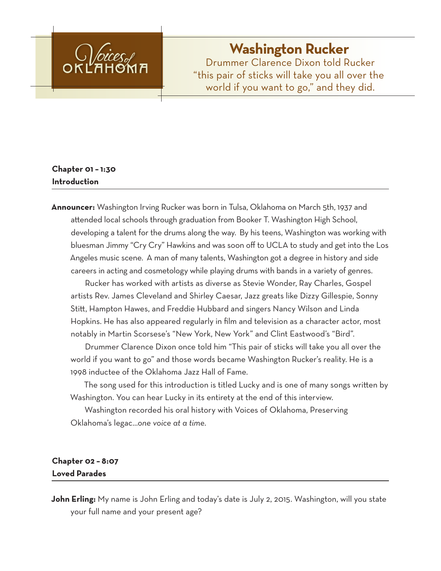

# **Washington Rucker**

Drummer Clarence Dixon told Rucker "this pair of sticks will take you all over the world if you want to go," and they did.

# **Chapter 01 – 1:30 Introduction**

**Announcer:** Washington Irving Rucker was born in Tulsa, Oklahoma on March 5th, 1937 and attended local schools through graduation from Booker T. Washington High School, developing a talent for the drums along the way. By his teens, Washington was working with bluesman Jimmy "Cry Cry" Hawkins and was soon off to UCLA to study and get into the Los Angeles music scene. A man of many talents, Washington got a degree in history and side careers in acting and cosmetology while playing drums with bands in a variety of genres.

Rucker has worked with artists as diverse as Stevie Wonder, Ray Charles, Gospel artists Rev. James Cleveland and Shirley Caesar, Jazz greats like Dizzy Gillespie, Sonny Stitt, Hampton Hawes, and Freddie Hubbard and singers Nancy Wilson and Linda Hopkins. He has also appeared regularly in film and television as a character actor, most notably in Martin Scorsese's "New York, New York" and Clint Eastwood's "Bird".

Drummer Clarence Dixon once told him "This pair of sticks will take you all over the world if you want to go" and those words became Washington Rucker's reality. He is a 1998 inductee of the Oklahoma Jazz Hall of Fame.

The song used for this introduction is titled Lucky and is one of many songs written by Washington. You can hear Lucky in its entirety at the end of this interview.

Washington recorded his oral history with Voices of Oklahoma, Preserving Oklahoma's legac…*one voice at a time*.

# **Chapter 02 – 8:07 Loved Parades**

**John Erling:** My name is John Erling and today's date is July 2, 2015. Washington, will you state your full name and your present age?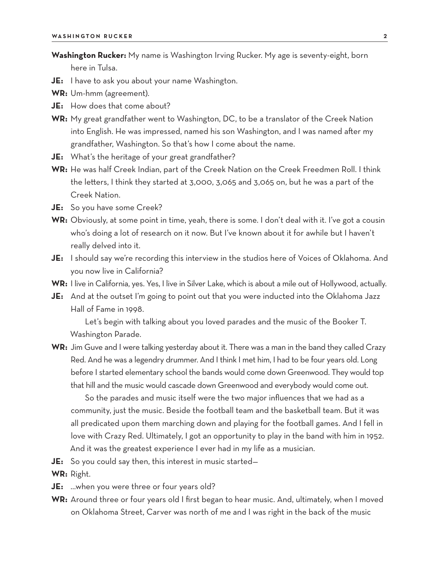**Washington Rucker:** My name is Washington Irving Rucker. My age is seventy-eight, born here in Tulsa.

- **JE:** I have to ask you about your name Washington.
- **WR:** Um-hmm (agreement).
- **JE:** How does that come about?
- **WR:** My great grandfather went to Washington, DC, to be a translator of the Creek Nation into English. He was impressed, named his son Washington, and I was named after my grandfather, Washington. So that's how I come about the name.
- **JE:** What's the heritage of your great grandfather?
- **WR:** He was half Creek Indian, part of the Creek Nation on the Creek Freedmen Roll. I think the letters, I think they started at 3,000, 3,065 and 3,065 on, but he was a part of the Creek Nation.
- **JE:** So you have some Creek?
- **WR:** Obviously, at some point in time, yeah, there is some. I don't deal with it. I've got a cousin who's doing a lot of research on it now. But I've known about it for awhile but I haven't really delved into it.
- **JE:** I should say we're recording this interview in the studios here of Voices of Oklahoma. And you now live in California?
- **WR:** I live in California, yes. Yes, I live in Silver Lake, which is about a mile out of Hollywood, actually.
- **JE:** And at the outset I'm going to point out that you were inducted into the Oklahoma Jazz Hall of Fame in 1998.

Let's begin with talking about you loved parades and the music of the Booker T. Washington Parade.

**WR:** Jim Guve and I were talking yesterday about it. There was a man in the band they called Crazy Red. And he was a legendry drummer. And I think I met him, I had to be four years old. Long before I started elementary school the bands would come down Greenwood. They would top that hill and the music would cascade down Greenwood and everybody would come out.

So the parades and music itself were the two major influences that we had as a community, just the music. Beside the football team and the basketball team. But it was all predicated upon them marching down and playing for the football games. And I fell in love with Crazy Red. Ultimately, I got an opportunity to play in the band with him in 1952. And it was the greatest experience I ever had in my life as a musician.

- **JE:** So you could say then, this interest in music started—
- **WR:** Right.
- **JE:** …when you were three or four years old?
- **WR:** Around three or four years old I first began to hear music. And, ultimately, when I moved on Oklahoma Street, Carver was north of me and I was right in the back of the music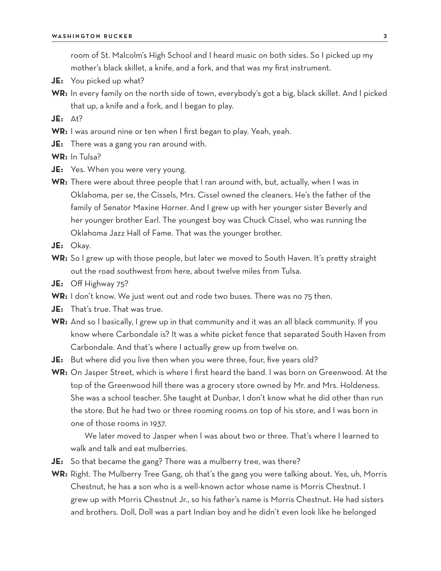room of St. Malcolm's High School and I heard music on both sides. So I picked up my mother's black skillet, a knife, and a fork, and that was my first instrument.

- **JE:** You picked up what?
- **WR:** In every family on the north side of town, everybody's got a big, black skillet. And I picked that up, a knife and a fork, and I began to play.

**JE:** At?

- **WR:** I was around nine or ten when I first began to play. Yeah, yeah.
- **JE:** There was a gang you ran around with.

**WR:** In Tulsa?

- **JE:** Yes. When you were very young.
- **WR:** There were about three people that I ran around with, but, actually, when I was in Oklahoma, per se, the Cissels, Mrs. Cissel owned the cleaners. He's the father of the family of Senator Maxine Horner. And I grew up with her younger sister Beverly and her younger brother Earl. The youngest boy was Chuck Cissel, who was running the Oklahoma Jazz Hall of Fame. That was the younger brother.
- **JE:** Okay.
- **WR:** So I grew up with those people, but later we moved to South Haven. It's pretty straight out the road southwest from here, about twelve miles from Tulsa.
- **JE:** Off Highway 75?
- **WR:** I don't know. We just went out and rode two buses. There was no 75 then.
- **JE:** That's true. That was true.
- **WR:** And so I basically, I grew up in that community and it was an all black community. If you know where Carbondale is? It was a white picket fence that separated South Haven from Carbondale. And that's where I actually grew up from twelve on.
- **JE:** But where did you live then when you were three, four, five years old?
- **WR:** On Jasper Street, which is where I first heard the band. I was born on Greenwood. At the top of the Greenwood hill there was a grocery store owned by Mr. and Mrs. Holdeness. She was a school teacher. She taught at Dunbar, I don't know what he did other than run the store. But he had two or three rooming rooms on top of his store, and I was born in one of those rooms in 1937.

We later moved to Jasper when I was about two or three. That's where I learned to walk and talk and eat mulberries.

- **JE:** So that became the gang? There was a mulberry tree, was there?
- **WR:** Right. The Mulberry Tree Gang, oh that's the gang you were talking about. Yes, uh, Morris Chestnut, he has a son who is a well-known actor whose name is Morris Chestnut. I grew up with Morris Chestnut Jr., so his father's name is Morris Chestnut. He had sisters and brothers. Doll, Doll was a part Indian boy and he didn't even look like he belonged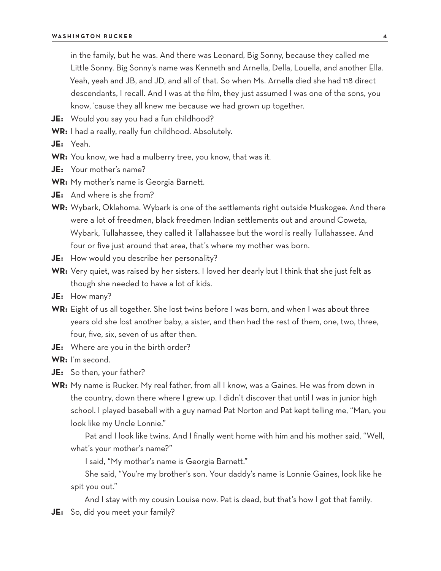in the family, but he was. And there was Leonard, Big Sonny, because they called me Little Sonny. Big Sonny's name was Kenneth and Arnella, Della, Louella, and another Ella. Yeah, yeah and JB, and JD, and all of that. So when Ms. Arnella died she had 118 direct descendants, I recall. And I was at the film, they just assumed I was one of the sons, you know, 'cause they all knew me because we had grown up together.

- **JE:** Would you say you had a fun childhood?
- **WR:** I had a really, really fun childhood. Absolutely.
- **JE:** Yeah.
- **WR:** You know, we had a mulberry tree, you know, that was it.
- **JE:** Your mother's name?
- **WR:** My mother's name is Georgia Barnett.
- **JE:** And where is she from?
- **WR:** Wybark, Oklahoma. Wybark is one of the settlements right outside Muskogee. And there were a lot of freedmen, black freedmen Indian settlements out and around Coweta, Wybark, Tullahassee, they called it Tallahassee but the word is really Tullahassee. And four or five just around that area, that's where my mother was born.
- **JE:** How would you describe her personality?
- **WR:** Very quiet, was raised by her sisters. I loved her dearly but I think that she just felt as though she needed to have a lot of kids.
- **JE:** How many?
- **WR:** Eight of us all together. She lost twins before I was born, and when I was about three years old she lost another baby, a sister, and then had the rest of them, one, two, three, four, five, six, seven of us after then.
- **JE:** Where are you in the birth order?
- **WR:** I'm second.
- **JE:** So then, your father?
- **WR:** My name is Rucker. My real father, from all I know, was a Gaines. He was from down in the country, down there where I grew up. I didn't discover that until I was in junior high school. I played baseball with a guy named Pat Norton and Pat kept telling me, "Man, you look like my Uncle Lonnie."
	- Pat and I look like twins. And I finally went home with him and his mother said, "Well, what's your mother's name?"

I said, "My mother's name is Georgia Barnett."

She said, "You're my brother's son. Your daddy's name is Lonnie Gaines, look like he spit you out."

And I stay with my cousin Louise now. Pat is dead, but that's how I got that family.

**JE:** So, did you meet your family?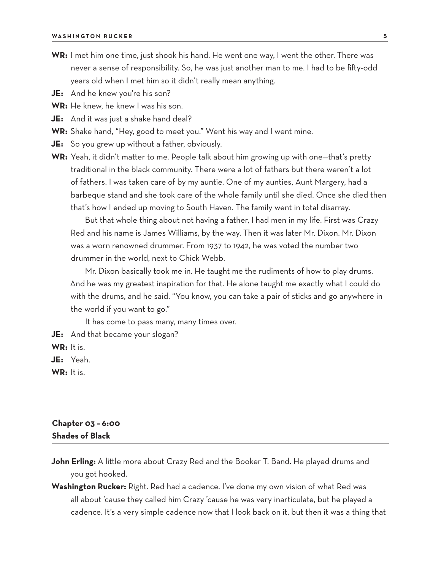- **WR:** I met him one time, just shook his hand. He went one way, I went the other. There was never a sense of responsibility. So, he was just another man to me. I had to be fifty-odd years old when I met him so it didn't really mean anything.
- **JE:** And he knew you're his son?
- **WR:** He knew, he knew I was his son.
- **JE:** And it was just a shake hand deal?
- **WR:** Shake hand, "Hey, good to meet you." Went his way and I went mine.
- **JE:** So you grew up without a father, obviously.
- **WR:** Yeah, it didn't matter to me. People talk about him growing up with one—that's pretty traditional in the black community. There were a lot of fathers but there weren't a lot of fathers. I was taken care of by my auntie. One of my aunties, Aunt Margery, had a barbeque stand and she took care of the whole family until she died. Once she died then that's how I ended up moving to South Haven. The family went in total disarray.

But that whole thing about not having a father, I had men in my life. First was Crazy Red and his name is James Williams, by the way. Then it was later Mr. Dixon. Mr. Dixon was a worn renowned drummer. From 1937 to 1942, he was voted the number two drummer in the world, next to Chick Webb.

Mr. Dixon basically took me in. He taught me the rudiments of how to play drums. And he was my greatest inspiration for that. He alone taught me exactly what I could do with the drums, and he said, "You know, you can take a pair of sticks and go anywhere in the world if you want to go."

It has come to pass many, many times over.

**JE:** And that became your slogan?

**WR:** It is.

**JE:** Yeah.

**WR:** It is.

#### **Chapter 03 – 6:00 Shades of Black**

- **John Erling:** A little more about Crazy Red and the Booker T. Band. He played drums and you got hooked.
- **Washington Rucker:** Right. Red had a cadence. I've done my own vision of what Red was all about 'cause they called him Crazy 'cause he was very inarticulate, but he played a cadence. It's a very simple cadence now that I look back on it, but then it was a thing that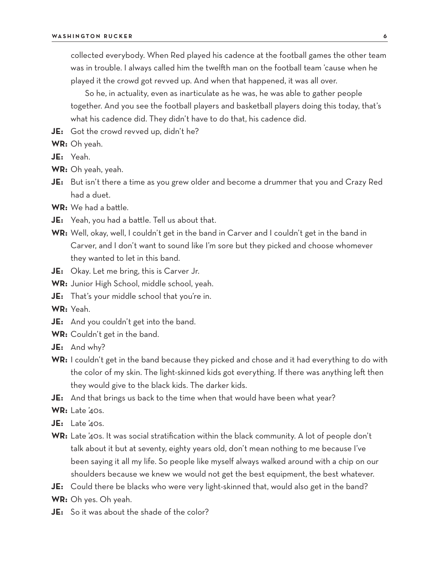collected everybody. When Red played his cadence at the football games the other team was in trouble. I always called him the twelfth man on the football team 'cause when he played it the crowd got revved up. And when that happened, it was all over.

So he, in actuality, even as inarticulate as he was, he was able to gather people together. And you see the football players and basketball players doing this today, that's what his cadence did. They didn't have to do that, his cadence did.

**JE:** Got the crowd revved up, didn't he?

**WR:** Oh yeah.

- **JE:** Yeah.
- **WR:** Oh yeah, yeah.
- **JE:** But isn't there a time as you grew older and become a drummer that you and Crazy Red had a duet.
- **WR:** We had a battle.
- **JE:** Yeah, you had a battle. Tell us about that.
- **WR:** Well, okay, well, I couldn't get in the band in Carver and I couldn't get in the band in Carver, and I don't want to sound like I'm sore but they picked and choose whomever they wanted to let in this band.
- **JE:** Okay. Let me bring, this is Carver Jr.
- **WR:** Junior High School, middle school, yeah.
- **JE:** That's your middle school that you're in.

**WR:** Yeah.

- **JE:** And you couldn't get into the band.
- **WR:** Couldn't get in the band.
- **JE:** And why?
- **WR:** I couldn't get in the band because they picked and chose and it had everything to do with the color of my skin. The light-skinned kids got everything. If there was anything left then they would give to the black kids. The darker kids.
- **JE:** And that brings us back to the time when that would have been what year?
- **WR:** Late '40s.
- **JE:** Late '40s.
- **WR:** Late '40s. It was social stratification within the black community. A lot of people don't talk about it but at seventy, eighty years old, don't mean nothing to me because I've been saying it all my life. So people like myself always walked around with a chip on our shoulders because we knew we would not get the best equipment, the best whatever.
- **JE:** Could there be blacks who were very light-skinned that, would also get in the band?
- **WR:** Oh yes. Oh yeah.
- **JE:** So it was about the shade of the color?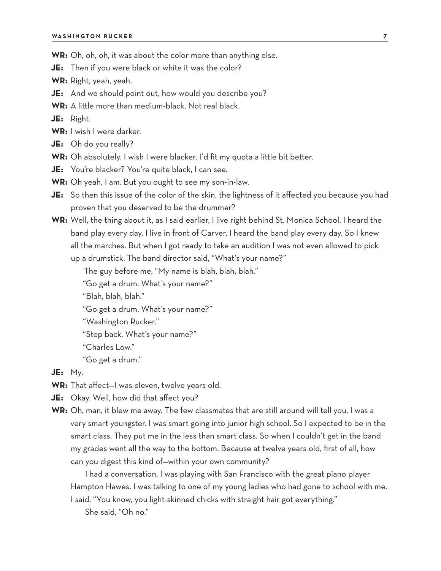**WR:** Oh, oh, oh, it was about the color more than anything else.

**JE:** Then if you were black or white it was the color?

**WR:** Right, yeah, yeah.

**JE:** And we should point out, how would you describe you?

**WR:** A little more than medium-black. Not real black.

**JE:** Right.

**WR:** I wish I were darker.

**JE:** Oh do you really?

- **WR:** Oh absolutely. I wish I were blacker, I'd fit my quota a little bit better.
- **JE:** You're blacker? You're quite black, I can see.
- **WR:** Oh yeah, I am. But you ought to see my son-in-law.
- **JE:** So then this issue of the color of the skin, the lightness of it affected you because you had proven that you deserved to be the drummer?
- **WR:** Well, the thing about it, as I said earlier, I live right behind St. Monica School. I heard the band play every day. I live in front of Carver, I heard the band play every day. So I knew all the marches. But when I got ready to take an audition I was not even allowed to pick up a drumstick. The band director said, "What's your name?"

The guy before me, "My name is blah, blah, blah."

"Go get a drum. What's your name?"

"Blah, blah, blah."

"Go get a drum. What's your name?"

"Washington Rucker."

"Step back. What's your name?"

"Charles Low."

"Go get a drum."

**JE:** My.

**WR:** That affect—I was eleven, twelve years old.

**JE:** Okay. Well, how did that affect you?

**WR:** Oh, man, it blew me away. The few classmates that are still around will tell you, I was a very smart youngster. I was smart going into junior high school. So I expected to be in the smart class. They put me in the less than smart class. So when I couldn't get in the band my grades went all the way to the bottom. Because at twelve years old, first of all, how can you digest this kind of—within your own community?

I had a conversation, I was playing with San Francisco with the great piano player Hampton Hawes. I was talking to one of my young ladies who had gone to school with me. I said, "You know, you light-skinned chicks with straight hair got everything."

She said, "Oh no."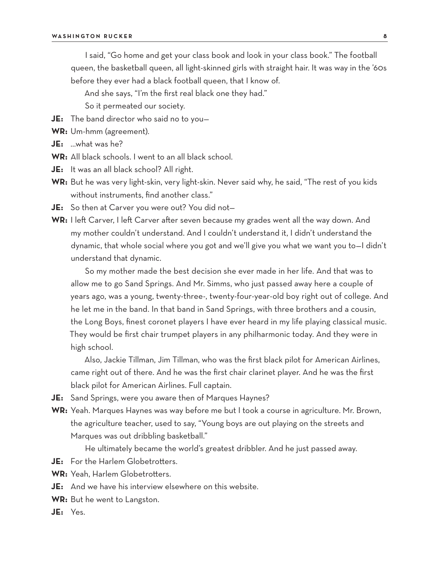I said, "Go home and get your class book and look in your class book." The football queen, the basketball queen, all light-skinned girls with straight hair. It was way in the '60s before they ever had a black football queen, that I know of.

And she says, "I'm the first real black one they had."

So it permeated our society.

- **JE:** The band director who said no to you—
- **WR:** Um-hmm (agreement).
- **JE:** …what was he?
- **WR:** All black schools. I went to an all black school.
- **JE:** It was an all black school? All right.
- **WR:** But he was very light-skin, very light-skin. Never said why, he said, "The rest of you kids without instruments, find another class."
- **JE:** So then at Carver you were out? You did not—
- **WR:** I left Carver, I left Carver after seven because my grades went all the way down. And my mother couldn't understand. And I couldn't understand it, I didn't understand the dynamic, that whole social where you got and we'll give you what we want you to—I didn't understand that dynamic.

So my mother made the best decision she ever made in her life. And that was to allow me to go Sand Springs. And Mr. Simms, who just passed away here a couple of years ago, was a young, twenty-three-, twenty-four-year-old boy right out of college. And he let me in the band. In that band in Sand Springs, with three brothers and a cousin, the Long Boys, finest coronet players I have ever heard in my life playing classical music. They would be first chair trumpet players in any philharmonic today. And they were in high school.

Also, Jackie Tillman, Jim Tillman, who was the first black pilot for American Airlines, came right out of there. And he was the first chair clarinet player. And he was the first black pilot for American Airlines. Full captain.

- **JE:** Sand Springs, were you aware then of Marques Haynes?
- **WR:** Yeah. Marques Haynes was way before me but I took a course in agriculture. Mr. Brown, the agriculture teacher, used to say, "Young boys are out playing on the streets and Marques was out dribbling basketball."

He ultimately became the world's greatest dribbler. And he just passed away.

- **JE:** For the Harlem Globetrotters.
- **WR:** Yeah, Harlem Globetrotters.
- **JE:** And we have his interview elsewhere on this website.
- **WR:** But he went to Langston.
- **JE:** Yes.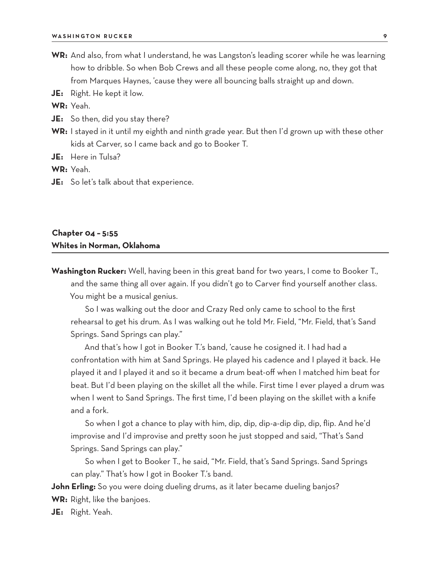- **WR:** And also, from what I understand, he was Langston's leading scorer while he was learning how to dribble. So when Bob Crews and all these people come along, no, they got that from Marques Haynes, 'cause they were all bouncing balls straight up and down.
- **JE:** Right. He kept it low.

**WR:** Yeah.

- **JE:** So then, did you stay there?
- **WR:** I stayed in it until my eighth and ninth grade year. But then I'd grown up with these other kids at Carver, so I came back and go to Booker T.

**JE:** Here in Tulsa?

**WR:** Yeah.

**JE:** So let's talk about that experience.

### **Chapter 04 – 5:55 Whites in Norman, Oklahoma**

**Washington Rucker:** Well, having been in this great band for two years, I come to Booker T., and the same thing all over again. If you didn't go to Carver find yourself another class. You might be a musical genius.

So I was walking out the door and Crazy Red only came to school to the first rehearsal to get his drum. As I was walking out he told Mr. Field, "Mr. Field, that's Sand Springs. Sand Springs can play."

And that's how I got in Booker T.'s band, 'cause he cosigned it. I had had a confrontation with him at Sand Springs. He played his cadence and I played it back. He played it and I played it and so it became a drum beat-off when I matched him beat for beat. But I'd been playing on the skillet all the while. First time I ever played a drum was when I went to Sand Springs. The first time, I'd been playing on the skillet with a knife and a fork.

So when I got a chance to play with him, dip, dip, dip-a-dip dip, dip, flip. And he'd improvise and I'd improvise and pretty soon he just stopped and said, "That's Sand Springs. Sand Springs can play."

So when I get to Booker T., he said, "Mr. Field, that's Sand Springs. Sand Springs can play." That's how I got in Booker T.'s band.

**John Erling:** So you were doing dueling drums, as it later became dueling banjos?

**WR:** Right, like the banjoes.

**JE:** Right. Yeah.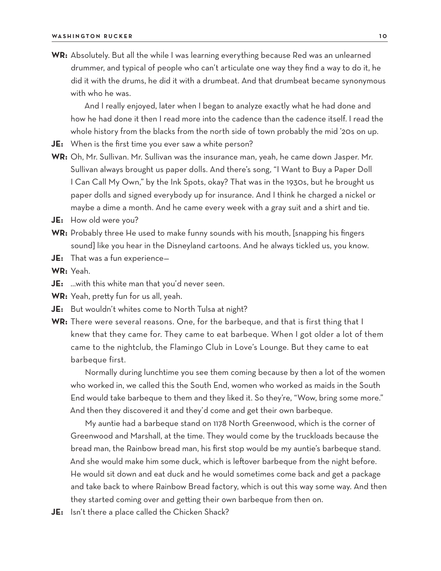**WR:** Absolutely. But all the while I was learning everything because Red was an unlearned drummer, and typical of people who can't articulate one way they find a way to do it, he did it with the drums, he did it with a drumbeat. And that drumbeat became synonymous with who he was.

And I really enjoyed, later when I began to analyze exactly what he had done and how he had done it then I read more into the cadence than the cadence itself. I read the whole history from the blacks from the north side of town probably the mid '20s on up.

- **JE:** When is the first time you ever saw a white person?
- **WR:** Oh, Mr. Sullivan. Mr. Sullivan was the insurance man, yeah, he came down Jasper. Mr. Sullivan always brought us paper dolls. And there's song, "I Want to Buy a Paper Doll I Can Call My Own," by the Ink Spots, okay? That was in the 1930s, but he brought us paper dolls and signed everybody up for insurance. And I think he charged a nickel or maybe a dime a month. And he came every week with a gray suit and a shirt and tie.
- **JE:** How old were you?
- **WR:** Probably three He used to make funny sounds with his mouth, [snapping his fingers sound] like you hear in the Disneyland cartoons. And he always tickled us, you know.
- **JE:** That was a fun experience—

**WR:** Yeah.

- **JE:** …with this white man that you'd never seen.
- **WR:** Yeah, pretty fun for us all, yeah.
- **JE:** But wouldn't whites come to North Tulsa at night?
- **WR:** There were several reasons. One, for the barbeque, and that is first thing that I knew that they came for. They came to eat barbeque. When I got older a lot of them came to the nightclub, the Flamingo Club in Love's Lounge. But they came to eat barbeque first.

Normally during lunchtime you see them coming because by then a lot of the women who worked in, we called this the South End, women who worked as maids in the South End would take barbeque to them and they liked it. So they're, "Wow, bring some more." And then they discovered it and they'd come and get their own barbeque.

My auntie had a barbeque stand on 1178 North Greenwood, which is the corner of Greenwood and Marshall, at the time. They would come by the truckloads because the bread man, the Rainbow bread man, his first stop would be my auntie's barbeque stand. And she would make him some duck, which is leftover barbeque from the night before. He would sit down and eat duck and he would sometimes come back and get a package and take back to where Rainbow Bread factory, which is out this way some way. And then they started coming over and getting their own barbeque from then on.

**JE:** Isn't there a place called the Chicken Shack?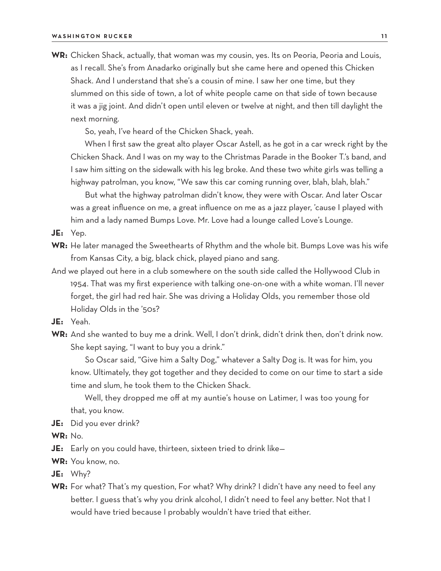**WR:** Chicken Shack, actually, that woman was my cousin, yes. Its on Peoria, Peoria and Louis, as I recall. She's from Anadarko originally but she came here and opened this Chicken Shack. And I understand that she's a cousin of mine. I saw her one time, but they slummed on this side of town, a lot of white people came on that side of town because it was a jig joint. And didn't open until eleven or twelve at night, and then till daylight the next morning.

So, yeah, I've heard of the Chicken Shack, yeah.

When I first saw the great alto player Oscar Astell, as he got in a car wreck right by the Chicken Shack. And I was on my way to the Christmas Parade in the Booker T.'s band, and I saw him sitting on the sidewalk with his leg broke. And these two white girls was telling a highway patrolman, you know, "We saw this car coming running over, blah, blah, blah."

But what the highway patrolman didn't know, they were with Oscar. And later Oscar was a great influence on me, a great influence on me as a jazz player, 'cause I played with him and a lady named Bumps Love. Mr. Love had a lounge called Love's Lounge.

**JE:** Yep.

- **WR:** He later managed the Sweethearts of Rhythm and the whole bit. Bumps Love was his wife from Kansas City, a big, black chick, played piano and sang.
- And we played out here in a club somewhere on the south side called the Hollywood Club in 1954. That was my first experience with talking one-on-one with a white woman. I'll never forget, the girl had red hair. She was driving a Holiday Olds, you remember those old Holiday Olds in the '50s?
- **JE:** Yeah.
- **WR:** And she wanted to buy me a drink. Well, I don't drink, didn't drink then, don't drink now. She kept saying, "I want to buy you a drink."

So Oscar said, "Give him a Salty Dog," whatever a Salty Dog is. It was for him, you know. Ultimately, they got together and they decided to come on our time to start a side time and slum, he took them to the Chicken Shack.

Well, they dropped me off at my auntie's house on Latimer, I was too young for that, you know.

- **JE:** Did you ever drink?
- **WR:** No.

**JE:** Early on you could have, thirteen, sixteen tried to drink like—

**WR:** You know, no.

**JE:** Why?

**WR:** For what? That's my question, For what? Why drink? I didn't have any need to feel any better. I guess that's why you drink alcohol, I didn't need to feel any better. Not that I would have tried because I probably wouldn't have tried that either.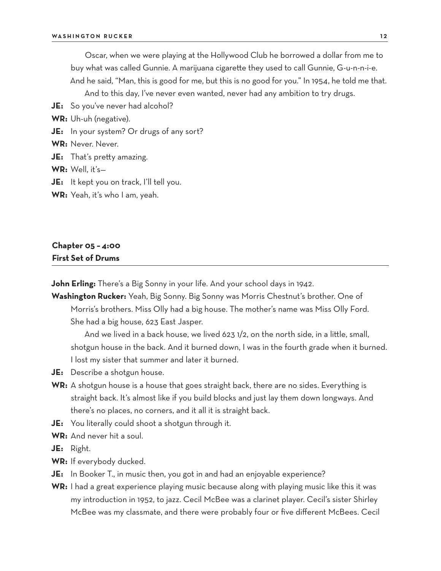Oscar, when we were playing at the Hollywood Club he borrowed a dollar from me to buy what was called Gunnie. A marijuana cigarette they used to call Gunnie, G-u-n-n-i-e. And he said, "Man, this is good for me, but this is no good for you." In 1954, he told me that.

And to this day, I've never even wanted, never had any ambition to try drugs.

**JE:** So you've never had alcohol?

**WR:** Uh-uh (negative).

**JE:** In your system? Or drugs of any sort?

**WR:** Never. Never.

**JE:** That's pretty amazing.

**WR:** Well, it's—

**JE:** It kept you on track, I'll tell you.

**WR:** Yeah, it's who I am, yeah.

# **Chapter 05 – 4:00 First Set of Drums**

**John Erling:** There's a Big Sonny in your life. And your school days in 1942.

**Washington Rucker:** Yeah, Big Sonny. Big Sonny was Morris Chestnut's brother. One of Morris's brothers. Miss Olly had a big house. The mother's name was Miss Olly Ford. She had a big house, 623 East Jasper.

And we lived in a back house, we lived 623 1/2, on the north side, in a little, small, shotgun house in the back. And it burned down, I was in the fourth grade when it burned. I lost my sister that summer and later it burned.

- **JE:** Describe a shotgun house.
- **WR:** A shotgun house is a house that goes straight back, there are no sides. Everything is straight back. It's almost like if you build blocks and just lay them down longways. And there's no places, no corners, and it all it is straight back.
- **JE:** You literally could shoot a shotgun through it.
- **WR:** And never hit a soul.

**JE:** Right.

- **WR:** If everybody ducked.
- **JE:** In Booker T., in music then, you got in and had an enjoyable experience?
- **WR:** I had a great experience playing music because along with playing music like this it was my introduction in 1952, to jazz. Cecil McBee was a clarinet player. Cecil's sister Shirley McBee was my classmate, and there were probably four or five different McBees. Cecil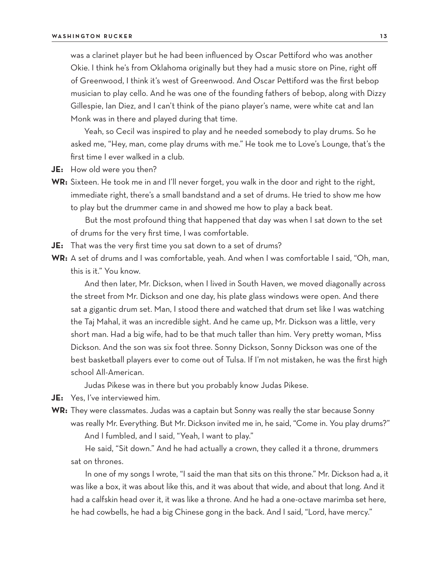was a clarinet player but he had been influenced by Oscar Pettiford who was another Okie. I think he's from Oklahoma originally but they had a music store on Pine, right off of Greenwood, I think it's west of Greenwood. And Oscar Pettiford was the first bebop musician to play cello. And he was one of the founding fathers of bebop, along with Dizzy Gillespie, Ian Diez, and I can't think of the piano player's name, were white cat and Ian Monk was in there and played during that time.

Yeah, so Cecil was inspired to play and he needed somebody to play drums. So he asked me, "Hey, man, come play drums with me." He took me to Love's Lounge, that's the first time I ever walked in a club.

- **JE:** How old were you then?
- WR: Sixteen. He took me in and I'll never forget, you walk in the door and right to the right, immediate right, there's a small bandstand and a set of drums. He tried to show me how to play but the drummer came in and showed me how to play a back beat.

But the most profound thing that happened that day was when I sat down to the set of drums for the very first time, I was comfortable.

- **JE:** That was the very first time you sat down to a set of drums?
- **WR:** A set of drums and I was comfortable, yeah. And when I was comfortable I said, "Oh, man, this is it." You know.

And then later, Mr. Dickson, when I lived in South Haven, we moved diagonally across the street from Mr. Dickson and one day, his plate glass windows were open. And there sat a gigantic drum set. Man, I stood there and watched that drum set like I was watching the Taj Mahal, it was an incredible sight. And he came up, Mr. Dickson was a little, very short man. Had a big wife, had to be that much taller than him. Very pretty woman, Miss Dickson. And the son was six foot three. Sonny Dickson, Sonny Dickson was one of the best basketball players ever to come out of Tulsa. If I'm not mistaken, he was the first high school All-American.

Judas Pikese was in there but you probably know Judas Pikese.

- **JE:** Yes, I've interviewed him.
- **WR:** They were classmates. Judas was a captain but Sonny was really the star because Sonny was really Mr. Everything. But Mr. Dickson invited me in, he said, "Come in. You play drums?" And I fumbled, and I said, "Yeah, I want to play."

He said, "Sit down." And he had actually a crown, they called it a throne, drummers sat on thrones.

In one of my songs I wrote, "I said the man that sits on this throne." Mr. Dickson had a, it was like a box, it was about like this, and it was about that wide, and about that long. And it had a calfskin head over it, it was like a throne. And he had a one-octave marimba set here, he had cowbells, he had a big Chinese gong in the back. And I said, "Lord, have mercy."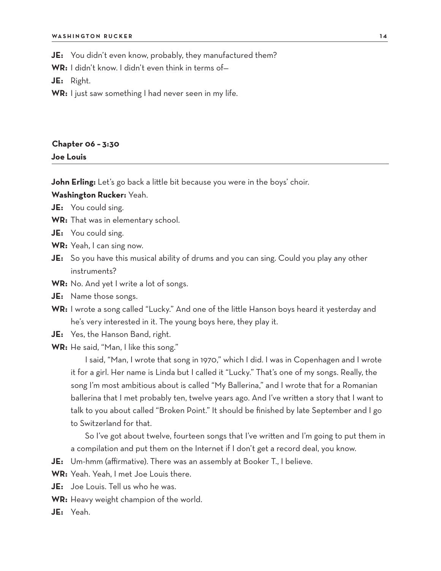**JE:** You didn't even know, probably, they manufactured them?

**WR:** I didn't know. I didn't even think in terms of—

**JE:** Right.

**WR:** I just saw something I had never seen in my life.

## **Chapter 06 – 3:30 Joe Louis**

**John Erling:** Let's go back a little bit because you were in the boys' choir.

**Washington Rucker:** Yeah.

- **JE:** You could sing.
- **WR:** That was in elementary school.
- **JE:** You could sing.
- **WR:** Yeah, I can sing now.
- **JE:** So you have this musical ability of drums and you can sing. Could you play any other instruments?
- **WR:** No. And yet I write a lot of songs.
- **JE:** Name those songs.
- **WR:** I wrote a song called "Lucky." And one of the little Hanson boys heard it yesterday and he's very interested in it. The young boys here, they play it.
- **JE:** Yes, the Hanson Band, right.
- **WR:** He said, "Man, I like this song."

I said, "Man, I wrote that song in 1970," which I did. I was in Copenhagen and I wrote it for a girl. Her name is Linda but I called it "Lucky." That's one of my songs. Really, the song I'm most ambitious about is called "My Ballerina," and I wrote that for a Romanian ballerina that I met probably ten, twelve years ago. And I've written a story that I want to talk to you about called "Broken Point." It should be finished by late September and I go to Switzerland for that.

So I've got about twelve, fourteen songs that I've written and I'm going to put them in a compilation and put them on the Internet if I don't get a record deal, you know.

- **JE:** Um-hmm (affirmative). There was an assembly at Booker T., I believe.
- **WR:** Yeah. Yeah, I met Joe Louis there.
- **JE:** Joe Louis. Tell us who he was.
- **WR:** Heavy weight champion of the world.
- **JE:** Yeah.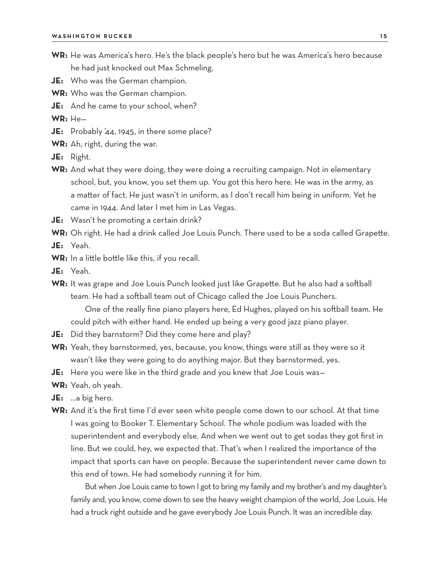- **WR:** He was America's hero. He's the black people's hero but he was America's hero because he had just knocked out Max Schmeling.
- **JE:** Who was the German champion.
- **WR:** Who was the German champion.
- **JE:** And he came to your school, when?

**WR:** He—

- **JE:** Probably '44, 1945, in there some place?
- **WR:** Ah, right, during the war.
- **JE:** Right.
- **WR:** And what they were doing, they were doing a recruiting campaign. Not in elementary school, but, you know, you set them up. You got this hero here. He was in the army, as a matter of fact. He just wasn't in uniform, as I don't recall him being in uniform. Yet he came in 1944. And later I met him in Las Vegas.
- **JE:** Wasn't he promoting a certain drink?

**WR:** Oh right. He had a drink called Joe Louis Punch. There used to be a soda called Grapette.

- **JE:** Yeah.
- **WR:** In a little bottle like this, if you recall.
- **JE:** Yeah.
- **WR:** It was grape and Joe Louis Punch looked just like Grapette. But he also had a softball team. He had a softball team out of Chicago called the Joe Louis Punchers. One of the really fine piano players here, Ed Hughes, played on his softball team. He
	- could pitch with either hand. He ended up being a very good jazz piano player.
- **JE:** Did they barnstorm? Did they come here and play?
- **WR:** Yeah, they barnstormed, yes, because, you know, things were still as they were so it wasn't like they were going to do anything major. But they barnstormed, yes.
- **JE:** Here you were like in the third grade and you knew that Joe Louis was—
- **WR:** Yeah, oh yeah.
- **JE:** …a big hero.
- **WR:** And it's the first time I'd ever seen white people come down to our school. At that time I was going to Booker T. Elementary School. The whole podium was loaded with the superintendent and everybody else. And when we went out to get sodas they got first in line. But we could, hey, we expected that. That's when I realized the importance of the impact that sports can have on people. Because the superintendent never came down to this end of town. He had somebody running it for him.

But when Joe Louis came to town I got to bring my family and my brother's and my daughter's family and, you know, come down to see the heavy weight champion of the world, Joe Louis. He had a truck right outside and he gave everybody Joe Louis Punch. It was an incredible day.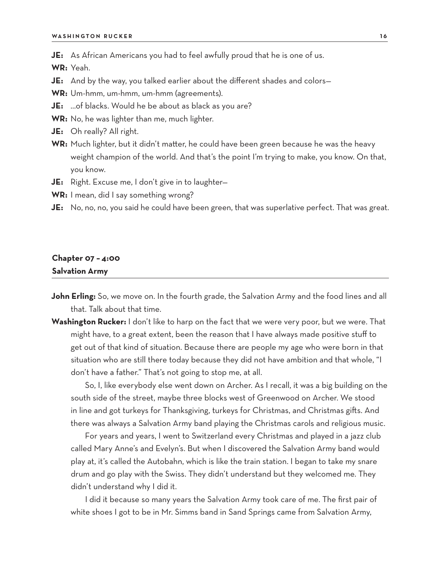**JE:** As African Americans you had to feel awfully proud that he is one of us.

**WR:** Yeah.

- **JE:** And by the way, you talked earlier about the different shades and colors-
- **WR:** Um-hmm, um-hmm, um-hmm (agreements).
- **JE:** …of blacks. Would he be about as black as you are?
- **WR:** No, he was lighter than me, much lighter.
- **JE:** Oh really? All right.
- **WR:** Much lighter, but it didn't matter, he could have been green because he was the heavy weight champion of the world. And that's the point I'm trying to make, you know. On that, you know.
- **JE:** Right. Excuse me, I don't give in to laughter—
- **WR:** I mean, did I say something wrong?
- **JE:** No, no, no, you said he could have been green, that was superlative perfect. That was great.

#### **Chapter 07 – 4:00 Salvation Army**

- **John Erling:** So, we move on. In the fourth grade, the Salvation Army and the food lines and all that. Talk about that time.
- **Washington Rucker:** I don't like to harp on the fact that we were very poor, but we were. That might have, to a great extent, been the reason that I have always made positive stuff to get out of that kind of situation. Because there are people my age who were born in that situation who are still there today because they did not have ambition and that whole, "I don't have a father." That's not going to stop me, at all.

So, I, like everybody else went down on Archer. As I recall, it was a big building on the south side of the street, maybe three blocks west of Greenwood on Archer. We stood in line and got turkeys for Thanksgiving, turkeys for Christmas, and Christmas gifts. And there was always a Salvation Army band playing the Christmas carols and religious music.

For years and years, I went to Switzerland every Christmas and played in a jazz club called Mary Anne's and Evelyn's. But when I discovered the Salvation Army band would play at, it's called the Autobahn, which is like the train station. I began to take my snare drum and go play with the Swiss. They didn't understand but they welcomed me. They didn't understand why I did it.

I did it because so many years the Salvation Army took care of me. The first pair of white shoes I got to be in Mr. Simms band in Sand Springs came from Salvation Army,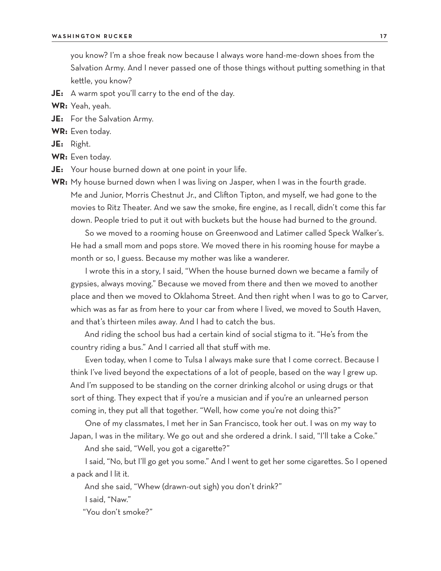you know? I'm a shoe freak now because I always wore hand-me-down shoes from the Salvation Army. And I never passed one of those things without putting something in that kettle, you know?

**JE:** A warm spot you'll carry to the end of the day.

**WR:** Yeah, yeah.

- **JE:** For the Salvation Army.
- **WR:** Even today.

**JE:** Right.

**WR:** Even today.

- **JE:** Your house burned down at one point in your life.
- **WR:** My house burned down when I was living on Jasper, when I was in the fourth grade. Me and Junior, Morris Chestnut Jr., and Clifton Tipton, and myself, we had gone to the movies to Ritz Theater. And we saw the smoke, fire engine, as I recall, didn't come this far down. People tried to put it out with buckets but the house had burned to the ground.

So we moved to a rooming house on Greenwood and Latimer called Speck Walker's. He had a small mom and pops store. We moved there in his rooming house for maybe a month or so, I guess. Because my mother was like a wanderer.

I wrote this in a story, I said, "When the house burned down we became a family of gypsies, always moving." Because we moved from there and then we moved to another place and then we moved to Oklahoma Street. And then right when I was to go to Carver, which was as far as from here to your car from where I lived, we moved to South Haven, and that's thirteen miles away. And I had to catch the bus.

And riding the school bus had a certain kind of social stigma to it. "He's from the country riding a bus." And I carried all that stuff with me.

Even today, when I come to Tulsa I always make sure that I come correct. Because I think I've lived beyond the expectations of a lot of people, based on the way I grew up. And I'm supposed to be standing on the corner drinking alcohol or using drugs or that sort of thing. They expect that if you're a musician and if you're an unlearned person coming in, they put all that together. "Well, how come you're not doing this?"

One of my classmates, I met her in San Francisco, took her out. I was on my way to Japan, I was in the military. We go out and she ordered a drink. I said, "I'll take a Coke."

And she said, "Well, you got a cigarette?"

I said, "No, but I'll go get you some." And I went to get her some cigarettes. So I opened a pack and I lit it.

And she said, "Whew (drawn-out sigh) you don't drink?"

I said, "Naw."

"You don't smoke?"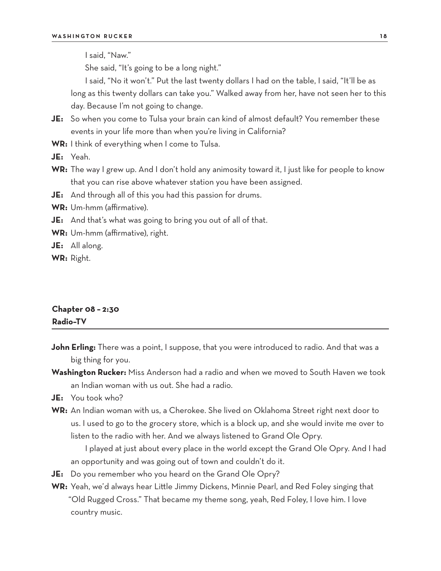I said, "Naw."

She said, "It's going to be a long night."

I said, "No it won't." Put the last twenty dollars I had on the table, I said, "It'll be as long as this twenty dollars can take you." Walked away from her, have not seen her to this day. Because I'm not going to change.

- **JE:** So when you come to Tulsa your brain can kind of almost default? You remember these events in your life more than when you're living in California?
- **WR:** I think of everything when I come to Tulsa.
- **JE:** Yeah.
- **WR:** The way I grew up. And I don't hold any animosity toward it, I just like for people to know that you can rise above whatever station you have been assigned.
- **JE:** And through all of this you had this passion for drums.
- **WR:** Um-hmm (affirmative).
- **JE:** And that's what was going to bring you out of all of that.
- **WR:** Um-hmm (affirmative), right.
- **JE:** All along.
- **WR:** Right.

# **Chapter 08 – 2:30 Radio–TV**

- **John Erling:** There was a point, I suppose, that you were introduced to radio. And that was a big thing for you.
- **Washington Rucker:** Miss Anderson had a radio and when we moved to South Haven we took an Indian woman with us out. She had a radio.
- **JE:** You took who?
- **WR:** An Indian woman with us, a Cherokee. She lived on Oklahoma Street right next door to us. I used to go to the grocery store, which is a block up, and she would invite me over to listen to the radio with her. And we always listened to Grand Ole Opry.

I played at just about every place in the world except the Grand Ole Opry. And I had an opportunity and was going out of town and couldn't do it.

- **JE:** Do you remember who you heard on the Grand Ole Opry?
- **WR:** Yeah, we'd always hear Little Jimmy Dickens, Minnie Pearl, and Red Foley singing that "Old Rugged Cross." That became my theme song, yeah, Red Foley, I love him. I love country music.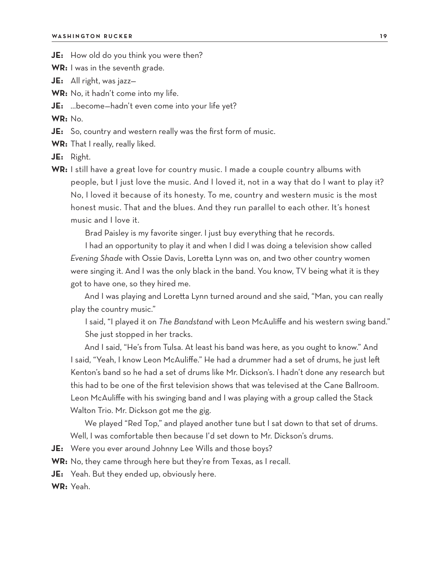- **JE:** How old do you think you were then?
- **WR:** I was in the seventh grade.
- **JE:** All right, was jazz—
- **WR:** No, it hadn't come into my life.
- **JE:** …become—hadn't even come into your life yet?

**WR:** No.

- **JE:** So, country and western really was the first form of music.
- **WR:** That I really, really liked.

**JE:** Right.

**WR:** I still have a great love for country music. I made a couple country albums with people, but I just love the music. And I loved it, not in a way that do I want to play it? No, I loved it because of its honesty. To me, country and western music is the most honest music. That and the blues. And they run parallel to each other. It's honest music and I love it.

Brad Paisley is my favorite singer. I just buy everything that he records.

I had an opportunity to play it and when I did I was doing a television show called *Evening Shade* with Ossie Davis, Loretta Lynn was on, and two other country women were singing it. And I was the only black in the band. You know, TV being what it is they got to have one, so they hired me.

And I was playing and Loretta Lynn turned around and she said, "Man, you can really play the country music."

I said, "I played it on *The Bandstand* with Leon McAuliffe and his western swing band." She just stopped in her tracks.

And I said, "He's from Tulsa. At least his band was here, as you ought to know." And I said, "Yeah, I know Leon McAuliffe." He had a drummer had a set of drums, he just left Kenton's band so he had a set of drums like Mr. Dickson's. I hadn't done any research but this had to be one of the first television shows that was televised at the Cane Ballroom. Leon McAuliffe with his swinging band and I was playing with a group called the Stack Walton Trio. Mr. Dickson got me the gig.

We played "Red Top," and played another tune but I sat down to that set of drums. Well, I was comfortable then because I'd set down to Mr. Dickson's drums.

**JE:** Were you ever around Johnny Lee Wills and those boys?

**WR:** No, they came through here but they're from Texas, as I recall.

**JE:** Yeah. But they ended up, obviously here.

**WR:** Yeah.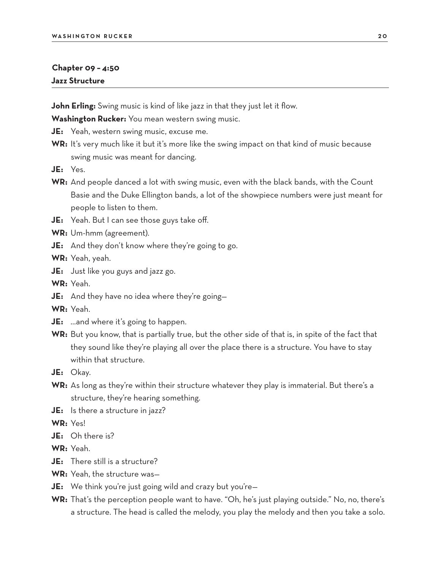#### **Chapter 09 – 4:50 Jazz Structure**

**John Erling:** Swing music is kind of like jazz in that they just let it flow.

**Washington Rucker:** You mean western swing music.

**JE:** Yeah, western swing music, excuse me.

- **WR:** It's very much like it but it's more like the swing impact on that kind of music because swing music was meant for dancing.
- **JE:** Yes.
- **WR:** And people danced a lot with swing music, even with the black bands, with the Count Basie and the Duke Ellington bands, a lot of the showpiece numbers were just meant for people to listen to them.
- **JE:** Yeah. But I can see those guys take off.
- **WR:** Um-hmm (agreement).
- **JE:** And they don't know where they're going to go.

**WR:** Yeah, yeah.

**JE:** Just like you guys and jazz go.

**WR:** Yeah.

**JE:** And they have no idea where they're going—

**WR:** Yeah.

- **JE:** ...and where it's going to happen.
- **WR:** But you know, that is partially true, but the other side of that is, in spite of the fact that they sound like they're playing all over the place there is a structure. You have to stay within that structure.

**JE:** Okay.

- **WR:** As long as they're within their structure whatever they play is immaterial. But there's a structure, they're hearing something.
- **JE:** Is there a structure in jazz?

**WR:** Yes!

**JE:** Oh there is?

**WR:** Yeah.

- **JE:** There still is a structure?
- **WR:** Yeah, the structure was—
- **JE:** We think you're just going wild and crazy but you're—
- **WR:** That's the perception people want to have. "Oh, he's just playing outside." No, no, there's a structure. The head is called the melody, you play the melody and then you take a solo.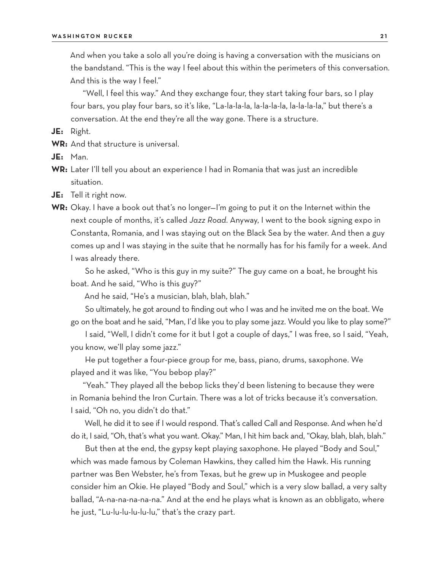And when you take a solo all you're doing is having a conversation with the musicians on the bandstand. "This is the way I feel about this within the perimeters of this conversation. And this is the way I feel."

"Well, I feel this way." And they exchange four, they start taking four bars, so I play four bars, you play four bars, so it's like, "La-la-la-la, la-la-la-la, la-la-la-la," but there's a conversation. At the end they're all the way gone. There is a structure.

**JE:** Right.

**WR:** And that structure is universal.

**JE:** Man.

**WR:** Later I'll tell you about an experience I had in Romania that was just an incredible situation.

**JE:** Tell it right now.

**WR:** Okay. I have a book out that's no longer—I'm going to put it on the Internet within the next couple of months, it's called *Jazz Road*. Anyway, I went to the book signing expo in Constanta, Romania, and I was staying out on the Black Sea by the water. And then a guy comes up and I was staying in the suite that he normally has for his family for a week. And I was already there.

So he asked, "Who is this guy in my suite?" The guy came on a boat, he brought his boat. And he said, "Who is this guy?"

And he said, "He's a musician, blah, blah, blah."

So ultimately, he got around to finding out who I was and he invited me on the boat. We go on the boat and he said, "Man, I'd like you to play some jazz. Would you like to play some?"

I said, "Well, I didn't come for it but I got a couple of days," I was free, so I said, "Yeah, you know, we'll play some jazz."

He put together a four-piece group for me, bass, piano, drums, saxophone. We played and it was like, "You bebop play?"

"Yeah." They played all the bebop licks they'd been listening to because they were in Romania behind the Iron Curtain. There was a lot of tricks because it's conversation. I said, "Oh no, you didn't do that."

Well, he did it to see if I would respond. That's called Call and Response. And when he'd do it, I said, "Oh, that's what you want. Okay." Man, I hit him back and, "Okay, blah, blah, blah."

But then at the end, the gypsy kept playing saxophone. He played "Body and Soul," which was made famous by Coleman Hawkins, they called him the Hawk. His running partner was Ben Webster, he's from Texas, but he grew up in Muskogee and people consider him an Okie. He played "Body and Soul," which is a very slow ballad, a very salty ballad, "A-na-na-na-na-na." And at the end he plays what is known as an obbligato, where he just, "Lu-lu-lu-lu-lu-lu," that's the crazy part.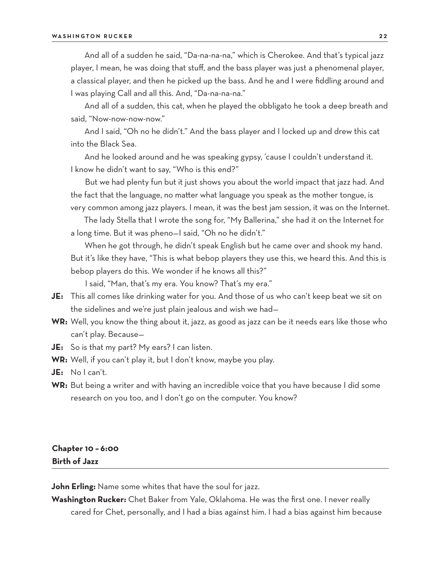#### **WASHINGTON RUCKER 2 2**

And all of a sudden he said, "Da-na-na-na," which is Cherokee. And that's typical jazz player, I mean, he was doing that stuff, and the bass player was just a phenomenal player, a classical player, and then he picked up the bass. And he and I were fiddling around and I was playing Call and all this. And, "Da-na-na-na."

And all of a sudden, this cat, when he played the obbligato he took a deep breath and said, "Now-now-now-now."

And I said, "Oh no he didn't." And the bass player and I locked up and drew this cat into the Black Sea.

And he looked around and he was speaking gypsy, 'cause I couldn't understand it. I know he didn't want to say, "Who is this end?"

But we had plenty fun but it just shows you about the world impact that jazz had. And the fact that the language, no matter what language you speak as the mother tongue, is very common among jazz players. I mean, it was the best jam session, it was on the Internet.

The lady Stella that I wrote the song for, "My Ballerina," she had it on the Internet for a long time. But it was pheno—I said, "Oh no he didn't."

When he got through, he didn't speak English but he came over and shook my hand. But it's like they have, "This is what bebop players they use this, we heard this. And this is bebop players do this. We wonder if he knows all this?"

I said, "Man, that's my era. You know? That's my era."

- **JE:** This all comes like drinking water for you. And those of us who can't keep beat we sit on the sidelines and we're just plain jealous and wish we had—
- **WR:** Well, you know the thing about it, jazz, as good as jazz can be it needs ears like those who can't play. Because—
- **JE:** So is that my part? My ears? I can listen.
- **WR:** Well, if you can't play it, but I don't know, maybe you play.
- **JE:** No I can't.
- **WR:** But being a writer and with having an incredible voice that you have because I did some research on you too, and I don't go on the computer. You know?

### **Chapter 10 – 6:00 Birth of Jazz**

**John Erling:** Name some whites that have the soul for jazz.

**Washington Rucker:** Chet Baker from Yale, Oklahoma. He was the first one. I never really cared for Chet, personally, and I had a bias against him. I had a bias against him because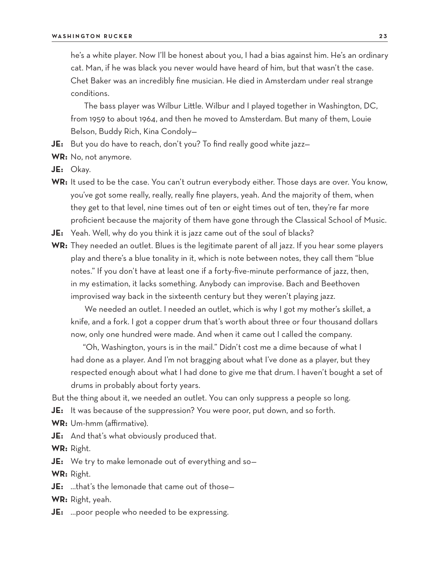he's a white player. Now I'll be honest about you, I had a bias against him. He's an ordinary cat. Man, if he was black you never would have heard of him, but that wasn't the case. Chet Baker was an incredibly fine musician. He died in Amsterdam under real strange conditions.

The bass player was Wilbur Little. Wilbur and I played together in Washington, DC, from 1959 to about 1964, and then he moved to Amsterdam. But many of them, Louie Belson, Buddy Rich, Kina Condoly—

- **JE:** But you do have to reach, don't you? To find really good white jazz—
- **WR:** No, not anymore.
- **JE:** Okay.
- WR: It used to be the case. You can't outrun everybody either. Those days are over. You know, you've got some really, really, really fine players, yeah. And the majority of them, when they get to that level, nine times out of ten or eight times out of ten, they're far more proficient because the majority of them have gone through the Classical School of Music.
- **JE:** Yeah. Well, why do you think it is jazz came out of the soul of blacks?
- **WR:** They needed an outlet. Blues is the legitimate parent of all jazz. If you hear some players play and there's a blue tonality in it, which is note between notes, they call them "blue notes." If you don't have at least one if a forty-five-minute performance of jazz, then, in my estimation, it lacks something. Anybody can improvise. Bach and Beethoven improvised way back in the sixteenth century but they weren't playing jazz.

We needed an outlet. I needed an outlet, which is why I got my mother's skillet, a knife, and a fork. I got a copper drum that's worth about three or four thousand dollars now, only one hundred were made. And when it came out I called the company.

"Oh, Washington, yours is in the mail." Didn't cost me a dime because of what I had done as a player. And I'm not bragging about what I've done as a player, but they respected enough about what I had done to give me that drum. I haven't bought a set of drums in probably about forty years.

But the thing about it, we needed an outlet. You can only suppress a people so long.

- **JE:** It was because of the suppression? You were poor, put down, and so forth.
- **WR:** Um-hmm (affirmative).
- **JE:** And that's what obviously produced that.

**WR:** Right.

**JE:** We try to make lemonade out of everything and so—

**WR:** Right.

**JE:** …that's the lemonade that came out of those—

**WR:** Right, yeah.

**JE:** …poor people who needed to be expressing.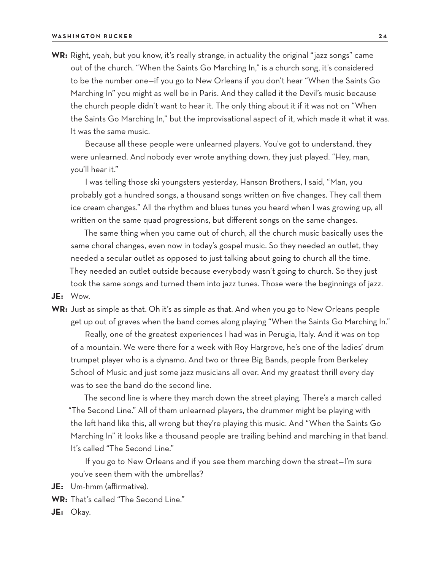**WR:** Right, yeah, but you know, it's really strange, in actuality the original "jazz songs" came out of the church. "When the Saints Go Marching In," is a church song, it's considered to be the number one—if you go to New Orleans if you don't hear "When the Saints Go Marching In" you might as well be in Paris. And they called it the Devil's music because the church people didn't want to hear it. The only thing about it if it was not on "When the Saints Go Marching In," but the improvisational aspect of it, which made it what it was. It was the same music.

Because all these people were unlearned players. You've got to understand, they were unlearned. And nobody ever wrote anything down, they just played. "Hey, man, you'll hear it."

I was telling those ski youngsters yesterday, Hanson Brothers, I said, "Man, you probably got a hundred songs, a thousand songs written on five changes. They call them ice cream changes." All the rhythm and blues tunes you heard when I was growing up, all written on the same quad progressions, but different songs on the same changes.

The same thing when you came out of church, all the church music basically uses the same choral changes, even now in today's gospel music. So they needed an outlet, they needed a secular outlet as opposed to just talking about going to church all the time. They needed an outlet outside because everybody wasn't going to church. So they just took the same songs and turned them into jazz tunes. Those were the beginnings of jazz.

**JE:** Wow.

**WR:** Just as simple as that. Oh it's as simple as that. And when you go to New Orleans people get up out of graves when the band comes along playing "When the Saints Go Marching In."

Really, one of the greatest experiences I had was in Perugia, Italy. And it was on top of a mountain. We were there for a week with Roy Hargrove, he's one of the ladies' drum trumpet player who is a dynamo. And two or three Big Bands, people from Berkeley School of Music and just some jazz musicians all over. And my greatest thrill every day was to see the band do the second line.

The second line is where they march down the street playing. There's a march called "The Second Line." All of them unlearned players, the drummer might be playing with the left hand like this, all wrong but they're playing this music. And "When the Saints Go Marching In" it looks like a thousand people are trailing behind and marching in that band. It's called "The Second Line."

If you go to New Orleans and if you see them marching down the street—I'm sure you've seen them with the umbrellas?

**JE:** Um-hmm (affirmative).

- **WR:** That's called "The Second Line."
- **JE:** Okay.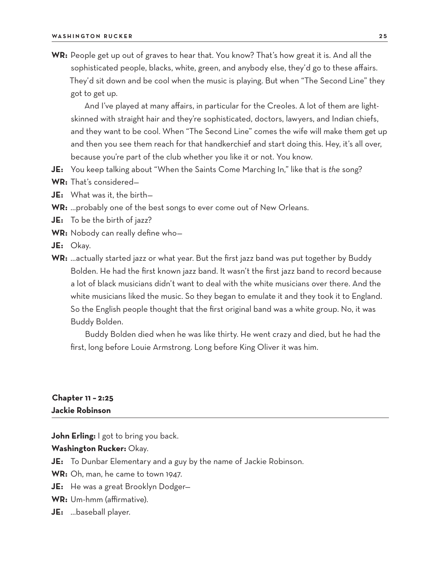**WR:** People get up out of graves to hear that. You know? That's how great it is. And all the sophisticated people, blacks, white, green, and anybody else, they'd go to these affairs. They'd sit down and be cool when the music is playing. But when "The Second Line" they got to get up.

And I've played at many affairs, in particular for the Creoles. A lot of them are lightskinned with straight hair and they're sophisticated, doctors, lawyers, and Indian chiefs, and they want to be cool. When "The Second Line" comes the wife will make them get up and then you see them reach for that handkerchief and start doing this. Hey, it's all over, because you're part of the club whether you like it or not. You know.

- **JE:** You keep talking about "When the Saints Come Marching In," like that is *the* song?
- **WR:** That's considered—
- **JE:** What was it, the birth—
- **WR:** …probably one of the best songs to ever come out of New Orleans.
- **JE:** To be the birth of jazz?
- **WR:** Nobody can really define who—
- **JE:** Okay.
- **WR:** …actually started jazz or what year. But the first jazz band was put together by Buddy Bolden. He had the first known jazz band. It wasn't the first jazz band to record because a lot of black musicians didn't want to deal with the white musicians over there. And the white musicians liked the music. So they began to emulate it and they took it to England. So the English people thought that the first original band was a white group. No, it was Buddy Bolden.

Buddy Bolden died when he was like thirty. He went crazy and died, but he had the first, long before Louie Armstrong. Long before King Oliver it was him.

### **Chapter 11 – 2:25 Jackie Robinson**

**John Erling:** I got to bring you back.

**Washington Rucker:** Okay.

**JE:** To Dunbar Elementary and a guy by the name of Jackie Robinson.

**WR:** Oh, man, he came to town 1947.

- **JE:** He was a great Brooklyn Dodger—
- **WR:** Um-hmm (affirmative).
- **JE:** …baseball player.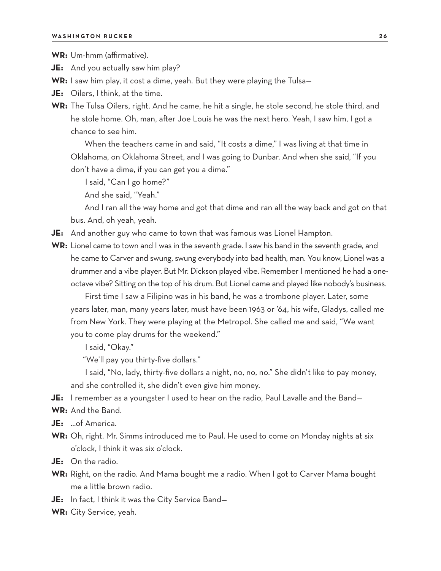**WR:** Um-hmm (affirmative).

- **JE:** And you actually saw him play?
- **WR:** I saw him play, it cost a dime, yeah. But they were playing the Tulsa—
- **JE:** Oilers, I think, at the time.
- **WR:** The Tulsa Oilers, right. And he came, he hit a single, he stole second, he stole third, and he stole home. Oh, man, after Joe Louis he was the next hero. Yeah, I saw him, I got a chance to see him.

When the teachers came in and said, "It costs a dime," I was living at that time in Oklahoma, on Oklahoma Street, and I was going to Dunbar. And when she said, "If you don't have a dime, if you can get you a dime."

I said, "Can I go home?"

And she said, "Yeah."

And I ran all the way home and got that dime and ran all the way back and got on that bus. And, oh yeah, yeah.

- **JE:** And another guy who came to town that was famous was Lionel Hampton.
- **WR:** Lionel came to town and I was in the seventh grade. I saw his band in the seventh grade, and he came to Carver and swung, swung everybody into bad health, man. You know, Lionel was a drummer and a vibe player. But Mr. Dickson played vibe. Remember I mentioned he had a oneoctave vibe? Sitting on the top of his drum. But Lionel came and played like nobody's business.

First time I saw a Filipino was in his band, he was a trombone player. Later, some years later, man, many years later, must have been 1963 or '64, his wife, Gladys, called me from New York. They were playing at the Metropol. She called me and said, "We want you to come play drums for the weekend."

I said, "Okay."

"We'll pay you thirty-five dollars."

I said, "No, lady, thirty-five dollars a night, no, no, no." She didn't like to pay money, and she controlled it, she didn't even give him money.

- **JE:** I remember as a youngster I used to hear on the radio, Paul Lavalle and the Band—
- **WR:** And the Band.
- **JE:** …of America.
- **WR:** Oh, right. Mr. Simms introduced me to Paul. He used to come on Monday nights at six o'clock, I think it was six o'clock.
- **JE:** On the radio.
- **WR:** Right, on the radio. And Mama bought me a radio. When I got to Carver Mama bought me a little brown radio.
- **JE:** In fact, I think it was the City Service Band—
- **WR:** City Service, yeah.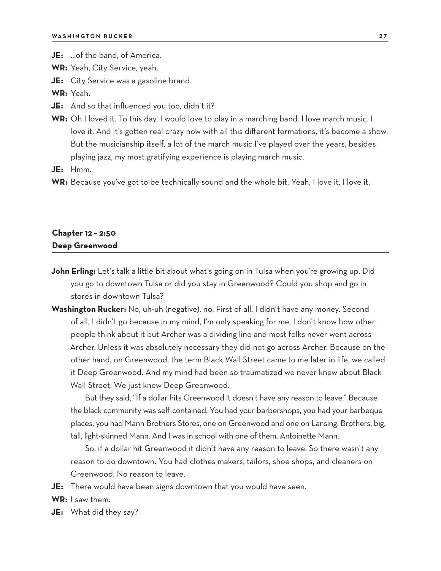**JE:** …of the band, of America.

**WR:** Yeah, City Service, yeah.

**JE:** City Service was a gasoline brand.

**WR:** Yeah.

- **JE:** And so that influenced you too, didn't it?
- **WR:** Oh I loved it. To this day, I would love to play in a marching band. I love march music. I love it. And it's gotten real crazy now with all this different formations, it's become a show. But the musicianship itself, a lot of the march music I've played over the years, besides playing jazz, my most gratifying experience is playing march music.

**JE:** Hmm.

WR: Because you've got to be technically sound and the whole bit. Yeah, I love it, I love it.

### **Chapter 12 – 2:50 Deep Greenwood**

- **John Erling:** Let's talk a little bit about what's going on in Tulsa when you're growing up. Did you go to downtown Tulsa or did you stay in Greenwood? Could you shop and go in stores in downtown Tulsa?
- **Washington Rucker:** No, uh-uh (negative), no. First of all, I didn't have any money. Second of all, I didn't go because in my mind, I'm only speaking for me, I don't know how other people think about it but Archer was a dividing line and most folks never went across Archer. Unless it was absolutely necessary they did not go across Archer. Because on the other hand, on Greenwood, the term Black Wall Street came to me later in life, we called it Deep Greenwood. And my mind had been so traumatized we never knew about Black Wall Street. We just knew Deep Greenwood.

But they said, "If a dollar hits Greenwood it doesn't have any reason to leave." Because the black community was self-contained. You had your barbershops, you had your barbeque places, you had Mann Brothers Stores, one on Greenwood and one on Lansing. Brothers, big, tall, light-skinned Mann. And I was in school with one of them, Antoinette Mann.

So, if a dollar hit Greenwood it didn't have any reason to leave. So there wasn't any reason to do downtown. You had clothes makers, tailors, shoe shops, and cleaners on Greenwood. No reason to leave.

**JE:** There would have been signs downtown that you would have seen.

**WR:** I saw them.

**JE:** What did they say?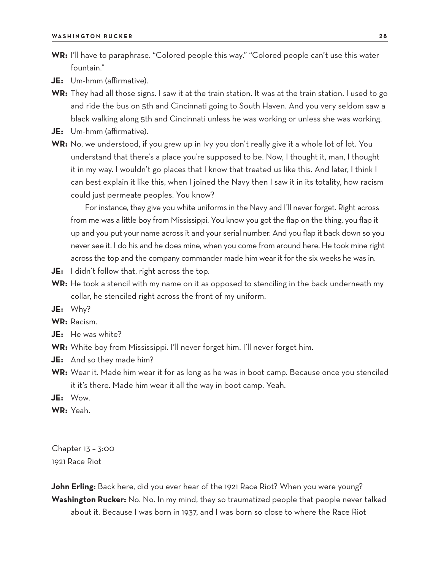- **WR:** I'll have to paraphrase. "Colored people this way." "Colored people can't use this water fountain."
- **JE:** Um-hmm (affirmative).
- **WR:** They had all those signs. I saw it at the train station. It was at the train station. I used to go and ride the bus on 5th and Cincinnati going to South Haven. And you very seldom saw a black walking along 5th and Cincinnati unless he was working or unless she was working.
- **JE:** Um-hmm (affirmative).
- **WR:** No, we understood, if you grew up in Ivy you don't really give it a whole lot of lot. You understand that there's a place you're supposed to be. Now, I thought it, man, I thought it in my way. I wouldn't go places that I know that treated us like this. And later, I think I can best explain it like this, when I joined the Navy then I saw it in its totality, how racism could just permeate peoples. You know?

For instance, they give you white uniforms in the Navy and I'll never forget. Right across from me was a little boy from Mississippi. You know you got the flap on the thing, you flap it up and you put your name across it and your serial number. And you flap it back down so you never see it. I do his and he does mine, when you come from around here. He took mine right across the top and the company commander made him wear it for the six weeks he was in.

- **JE:** I didn't follow that, right across the top.
- **WR:** He took a stencil with my name on it as opposed to stenciling in the back underneath my collar, he stenciled right across the front of my uniform.
- **JE:** Why?

**WR:** Racism.

- **JE:** He was white?
- **WR:** White boy from Mississippi. I'll never forget him. I'll never forget him.
- **JE:** And so they made him?
- **WR:** Wear it. Made him wear it for as long as he was in boot camp. Because once you stenciled it it's there. Made him wear it all the way in boot camp. Yeah.
- **JE:** Wow.

**WR:** Yeah.

Chapter 13 – 3:00 1921 Race Riot

**John Erling:** Back here, did you ever hear of the 1921 Race Riot? When you were young? **Washington Rucker:** No. No. In my mind, they so traumatized people that people never talked about it. Because I was born in 1937, and I was born so close to where the Race Riot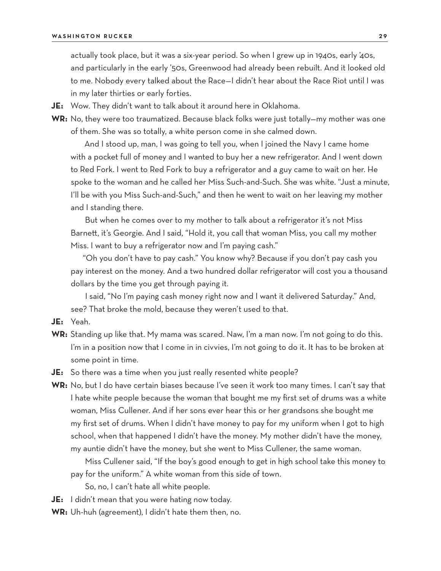actually took place, but it was a six-year period. So when I grew up in 1940s, early '40s, and particularly in the early '50s, Greenwood had already been rebuilt. And it looked old to me. Nobody every talked about the Race—I didn't hear about the Race Riot until I was in my later thirties or early forties.

**JE:** Wow. They didn't want to talk about it around here in Oklahoma.

**WR:** No, they were too traumatized. Because black folks were just totally—my mother was one of them. She was so totally, a white person come in she calmed down.

And I stood up, man, I was going to tell you, when I joined the Navy I came home with a pocket full of money and I wanted to buy her a new refrigerator. And I went down to Red Fork. I went to Red Fork to buy a refrigerator and a guy came to wait on her. He spoke to the woman and he called her Miss Such-and-Such. She was white. "Just a minute, I'll be with you Miss Such-and-Such," and then he went to wait on her leaving my mother and I standing there.

But when he comes over to my mother to talk about a refrigerator it's not Miss Barnett, it's Georgie. And I said, "Hold it, you call that woman Miss, you call my mother Miss. I want to buy a refrigerator now and I'm paying cash."

"Oh you don't have to pay cash." You know why? Because if you don't pay cash you pay interest on the money. And a two hundred dollar refrigerator will cost you a thousand dollars by the time you get through paying it.

I said, "No I'm paying cash money right now and I want it delivered Saturday." And, see? That broke the mold, because they weren't used to that.

**JE:** Yeah.

**WR:** Standing up like that. My mama was scared. Naw, I'm a man now. I'm not going to do this. I'm in a position now that I come in in civvies, I'm not going to do it. It has to be broken at some point in time.

**JE:** So there was a time when you just really resented white people?

**WR:** No, but I do have certain biases because I've seen it work too many times. I can't say that I hate white people because the woman that bought me my first set of drums was a white woman, Miss Cullener. And if her sons ever hear this or her grandsons she bought me my first set of drums. When I didn't have money to pay for my uniform when I got to high school, when that happened I didn't have the money. My mother didn't have the money, my auntie didn't have the money, but she went to Miss Cullener, the same woman.

Miss Cullener said, "If the boy's good enough to get in high school take this money to pay for the uniform." A white woman from this side of town.

So, no, I can't hate all white people.

**JE:** I didn't mean that you were hating now today.

**WR:** Uh-huh (agreement), I didn't hate them then, no.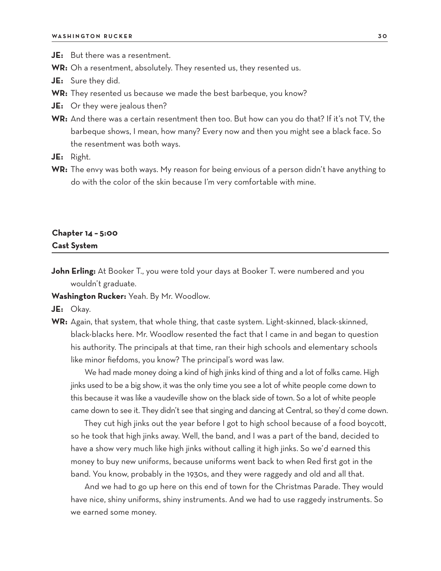**JE:** But there was a resentment.

**WR:** Oh a resentment, absolutely. They resented us, they resented us.

- **JE:** Sure they did.
- **WR:** They resented us because we made the best barbeque, you know?
- **JE:** Or they were jealous then?
- **WR:** And there was a certain resentment then too. But how can you do that? If it's not TV, the barbeque shows, I mean, how many? Every now and then you might see a black face. So the resentment was both ways.
- **JE:** Right.
- **WR:** The envy was both ways. My reason for being envious of a person didn't have anything to do with the color of the skin because I'm very comfortable with mine.

### **Chapter 14 – 5:00 Cast System**

**John Erling:** At Booker T., you were told your days at Booker T. were numbered and you wouldn't graduate.

**Washington Rucker:** Yeah. By Mr. Woodlow.

**JE:** Okay.

**WR:** Again, that system, that whole thing, that caste system. Light-skinned, black-skinned, black-blacks here. Mr. Woodlow resented the fact that I came in and began to question his authority. The principals at that time, ran their high schools and elementary schools like minor fiefdoms, you know? The principal's word was law.

We had made money doing a kind of high jinks kind of thing and a lot of folks came. High jinks used to be a big show, it was the only time you see a lot of white people come down to this because it was like a vaudeville show on the black side of town. So a lot of white people came down to see it. They didn't see that singing and dancing at Central, so they'd come down.

They cut high jinks out the year before I got to high school because of a food boycott, so he took that high jinks away. Well, the band, and I was a part of the band, decided to have a show very much like high jinks without calling it high jinks. So we'd earned this money to buy new uniforms, because uniforms went back to when Red first got in the band. You know, probably in the 1930s, and they were raggedy and old and all that.

And we had to go up here on this end of town for the Christmas Parade. They would have nice, shiny uniforms, shiny instruments. And we had to use raggedy instruments. So we earned some money.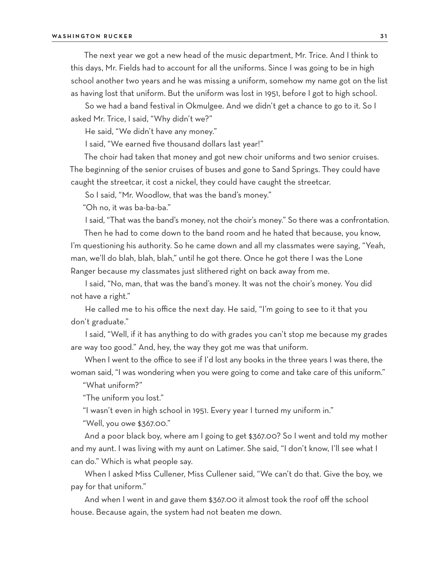The next year we got a new head of the music department, Mr. Trice. And I think to this days, Mr. Fields had to account for all the uniforms. Since I was going to be in high school another two years and he was missing a uniform, somehow my name got on the list as having lost that uniform. But the uniform was lost in 1951, before I got to high school.

So we had a band festival in Okmulgee. And we didn't get a chance to go to it. So I asked Mr. Trice, I said, "Why didn't we?"

He said, "We didn't have any money."

I said, "We earned five thousand dollars last year!"

The choir had taken that money and got new choir uniforms and two senior cruises. The beginning of the senior cruises of buses and gone to Sand Springs. They could have caught the streetcar, it cost a nickel, they could have caught the streetcar.

So I said, "Mr. Woodlow, that was the band's money."

"Oh no, it was ba-ba-ba."

I said, "That was the band's money, not the choir's money." So there was a confrontation.

Then he had to come down to the band room and he hated that because, you know, I'm questioning his authority. So he came down and all my classmates were saying, "Yeah, man, we'll do blah, blah, blah," until he got there. Once he got there I was the Lone Ranger because my classmates just slithered right on back away from me.

I said, "No, man, that was the band's money. It was not the choir's money. You did not have a right."

He called me to his office the next day. He said, "I'm going to see to it that you don't graduate."

I said, "Well, if it has anything to do with grades you can't stop me because my grades are way too good." And, hey, the way they got me was that uniform.

When I went to the office to see if I'd lost any books in the three years I was there, the woman said, "I was wondering when you were going to come and take care of this uniform."

"What uniform?"

"The uniform you lost."

"I wasn't even in high school in 1951. Every year I turned my uniform in."

"Well, you owe \$367.00."

And a poor black boy, where am I going to get \$367.00? So I went and told my mother and my aunt. I was living with my aunt on Latimer. She said, "I don't know, I'll see what I can do." Which is what people say.

When I asked Miss Cullener, Miss Cullener said, "We can't do that. Give the boy, we pay for that uniform."

And when I went in and gave them \$367.00 it almost took the roof off the school house. Because again, the system had not beaten me down.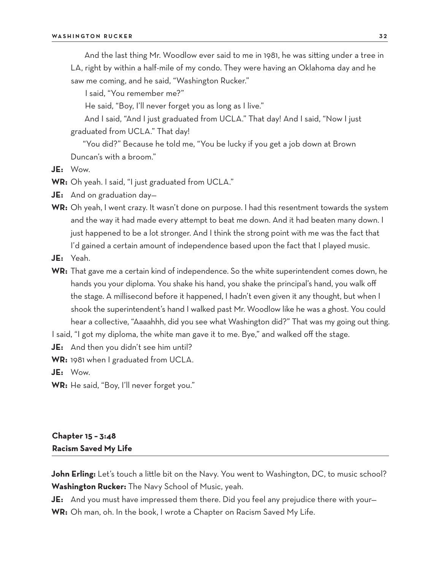And the last thing Mr. Woodlow ever said to me in 1981, he was sitting under a tree in LA, right by within a half-mile of my condo. They were having an Oklahoma day and he saw me coming, and he said, "Washington Rucker."

I said, "You remember me?"

He said, "Boy, I'll never forget you as long as I live."

And I said, "And I just graduated from UCLA." That day! And I said, "Now I just graduated from UCLA." That day!

"You did?" Because he told me, "You be lucky if you get a job down at Brown Duncan's with a broom."

- **JE:** Wow.
- **WR:** Oh yeah. I said, "I just graduated from UCLA."
- **JE:** And on graduation day—
- **WR:** Oh yeah, I went crazy. It wasn't done on purpose. I had this resentment towards the system and the way it had made every attempt to beat me down. And it had beaten many down. I just happened to be a lot stronger. And I think the strong point with me was the fact that I'd gained a certain amount of independence based upon the fact that I played music.
- **JE:** Yeah.
- **WR:** That gave me a certain kind of independence. So the white superintendent comes down, he hands you your diploma. You shake his hand, you shake the principal's hand, you walk off the stage. A millisecond before it happened, I hadn't even given it any thought, but when I shook the superintendent's hand I walked past Mr. Woodlow like he was a ghost. You could hear a collective, "Aaaahhh, did you see what Washington did?" That was my going out thing.

I said, "I got my diploma, the white man gave it to me. Bye," and walked off the stage.

**JE:** And then you didn't see him until?

**WR:** 1981 when I graduated from UCLA.

**JE:** Wow.

**WR:** He said, "Boy, I'll never forget you."

# **Chapter 15 – 3:48 Racism Saved My Life**

**John Erling:** Let's touch a little bit on the Navy. You went to Washington, DC, to music school? **Washington Rucker:** The Navy School of Music, yeah.

**JE:** And you must have impressed them there. Did you feel any prejudice there with your— **WR:** Oh man, oh. In the book, I wrote a Chapter on Racism Saved My Life.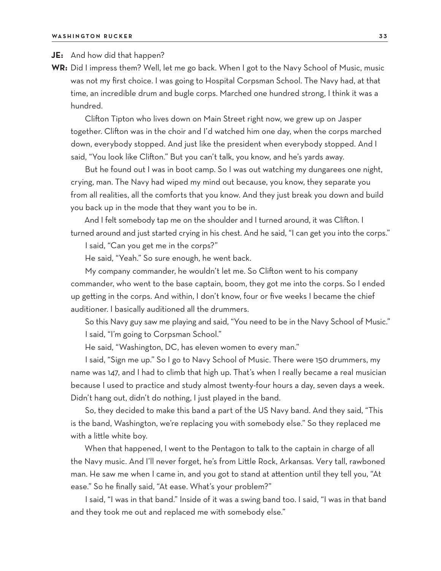#### **JE:** And how did that happen?

**WR:** Did I impress them? Well, let me go back. When I got to the Navy School of Music, music was not my first choice. I was going to Hospital Corpsman School. The Navy had, at that time, an incredible drum and bugle corps. Marched one hundred strong, I think it was a hundred.

Clifton Tipton who lives down on Main Street right now, we grew up on Jasper together. Clifton was in the choir and I'd watched him one day, when the corps marched down, everybody stopped. And just like the president when everybody stopped. And I said, "You look like Clifton." But you can't talk, you know, and he's yards away.

But he found out I was in boot camp. So I was out watching my dungarees one night, crying, man. The Navy had wiped my mind out because, you know, they separate you from all realities, all the comforts that you know. And they just break you down and build you back up in the mode that they want you to be in.

And I felt somebody tap me on the shoulder and I turned around, it was Clifton. I turned around and just started crying in his chest. And he said, "I can get you into the corps."

I said, "Can you get me in the corps?"

He said, "Yeah." So sure enough, he went back.

My company commander, he wouldn't let me. So Clifton went to his company commander, who went to the base captain, boom, they got me into the corps. So I ended up getting in the corps. And within, I don't know, four or five weeks I became the chief auditioner. I basically auditioned all the drummers.

So this Navy guy saw me playing and said, "You need to be in the Navy School of Music." I said, "I'm going to Corpsman School."

He said, "Washington, DC, has eleven women to every man."

I said, "Sign me up." So I go to Navy School of Music. There were 150 drummers, my name was 147, and I had to climb that high up. That's when I really became a real musician because I used to practice and study almost twenty-four hours a day, seven days a week. Didn't hang out, didn't do nothing, I just played in the band.

So, they decided to make this band a part of the US Navy band. And they said, "This is the band, Washington, we're replacing you with somebody else." So they replaced me with a little white boy.

When that happened, I went to the Pentagon to talk to the captain in charge of all the Navy music. And I'll never forget, he's from Little Rock, Arkansas. Very tall, rawboned man. He saw me when I came in, and you got to stand at attention until they tell you, "At ease." So he finally said, "At ease. What's your problem?"

I said, "I was in that band." Inside of it was a swing band too. I said, "I was in that band and they took me out and replaced me with somebody else."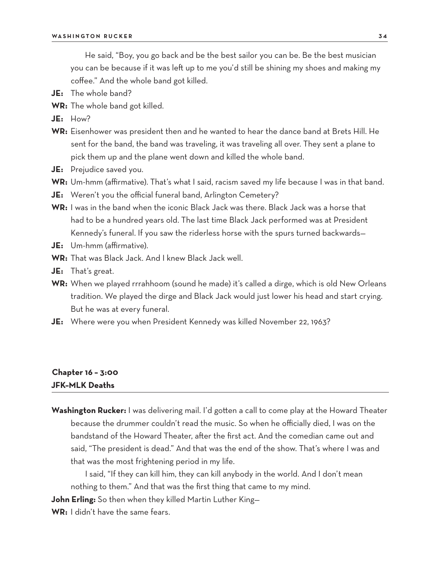He said, "Boy, you go back and be the best sailor you can be. Be the best musician you can be because if it was left up to me you'd still be shining my shoes and making my coffee." And the whole band got killed.

- **JE:** The whole band?
- **WR:** The whole band got killed.
- **JE:** How?
- **WR:** Eisenhower was president then and he wanted to hear the dance band at Brets Hill. He sent for the band, the band was traveling, it was traveling all over. They sent a plane to pick them up and the plane went down and killed the whole band.
- **JE:** Prejudice saved you.
- **WR:** Um-hmm (affirmative). That's what I said, racism saved my life because I was in that band.
- **JE:** Weren't you the official funeral band, Arlington Cemetery?
- **WR:** I was in the band when the iconic Black Jack was there. Black Jack was a horse that had to be a hundred years old. The last time Black Jack performed was at President Kennedy's funeral. If you saw the riderless horse with the spurs turned backwards—
- **JE:** Um-hmm (affirmative).
- **WR:** That was Black Jack. And I knew Black Jack well.
- **JE:** That's great.
- **WR:** When we played rrrahhoom (sound he made) it's called a dirge, which is old New Orleans tradition. We played the dirge and Black Jack would just lower his head and start crying. But he was at every funeral.
- **JE:** Where were you when President Kennedy was killed November 22, 1963?

# **Chapter 16 – 3:00 JFK–MLK Deaths**

**Washington Rucker:** I was delivering mail. I'd gotten a call to come play at the Howard Theater because the drummer couldn't read the music. So when he officially died, I was on the bandstand of the Howard Theater, after the first act. And the comedian came out and said, "The president is dead." And that was the end of the show. That's where I was and that was the most frightening period in my life.

I said, "If they can kill him, they can kill anybody in the world. And I don't mean nothing to them." And that was the first thing that came to my mind.

**John Erling:** So then when they killed Martin Luther King—

**WR:** I didn't have the same fears.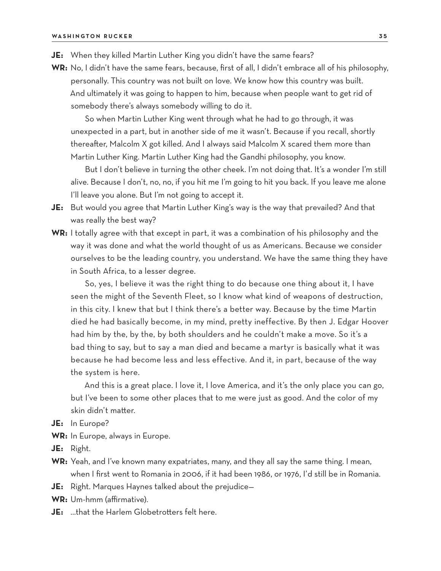- **JE:** When they killed Martin Luther King you didn't have the same fears?
- **WR:** No, I didn't have the same fears, because, first of all, I didn't embrace all of his philosophy, personally. This country was not built on love. We know how this country was built. And ultimately it was going to happen to him, because when people want to get rid of somebody there's always somebody willing to do it.

So when Martin Luther King went through what he had to go through, it was unexpected in a part, but in another side of me it wasn't. Because if you recall, shortly thereafter, Malcolm X got killed. And I always said Malcolm X scared them more than Martin Luther King. Martin Luther King had the Gandhi philosophy, you know.

But I don't believe in turning the other cheek. I'm not doing that. It's a wonder I'm still alive. Because I don't, no, no, if you hit me I'm going to hit you back. If you leave me alone I'll leave you alone. But I'm not going to accept it.

- **JE:** But would you agree that Martin Luther King's way is the way that prevailed? And that was really the best way?
- **WR:** I totally agree with that except in part, it was a combination of his philosophy and the way it was done and what the world thought of us as Americans. Because we consider ourselves to be the leading country, you understand. We have the same thing they have in South Africa, to a lesser degree.

So, yes, I believe it was the right thing to do because one thing about it, I have seen the might of the Seventh Fleet, so I know what kind of weapons of destruction, in this city. I knew that but I think there's a better way. Because by the time Martin died he had basically become, in my mind, pretty ineffective. By then J. Edgar Hoover had him by the, by the, by both shoulders and he couldn't make a move. So it's a bad thing to say, but to say a man died and became a martyr is basically what it was because he had become less and less effective. And it, in part, because of the way the system is here.

And this is a great place. I love it, I love America, and it's the only place you can go, but I've been to some other places that to me were just as good. And the color of my skin didn't matter.

- **JE:** In Europe?
- **WR:** In Europe, always in Europe.
- **JE:** Right.
- **WR:** Yeah, and I've known many expatriates, many, and they all say the same thing. I mean, when I first went to Romania in 2006, if it had been 1986, or 1976, I'd still be in Romania.
- **JE:** Right. Marques Haynes talked about the prejudice—
- **WR:** Um-hmm (affirmative).
- **JE:** …that the Harlem Globetrotters felt here.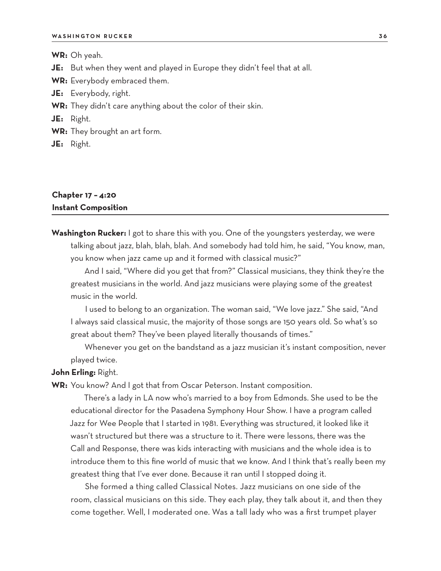**WR:** Oh yeah.

**JE:** But when they went and played in Europe they didn't feel that at all.

**WR:** Everybody embraced them.

**JE:** Everybody, right.

**WR:** They didn't care anything about the color of their skin.

**JE:** Right.

**WR:** They brought an art form.

**JE:** Right.

### **Chapter 17 – 4:20 Instant Composition**

**Washington Rucker:** I got to share this with you. One of the youngsters yesterday, we were talking about jazz, blah, blah, blah. And somebody had told him, he said, "You know, man, you know when jazz came up and it formed with classical music?"

And I said, "Where did you get that from?" Classical musicians, they think they're the greatest musicians in the world. And jazz musicians were playing some of the greatest music in the world.

I used to belong to an organization. The woman said, "We love jazz." She said, "And I always said classical music, the majority of those songs are 150 years old. So what's so great about them? They've been played literally thousands of times."

Whenever you get on the bandstand as a jazz musician it's instant composition, never played twice.

#### **John Erling:** Right.

**WR:** You know? And I got that from Oscar Peterson. Instant composition.

There's a lady in LA now who's married to a boy from Edmonds. She used to be the educational director for the Pasadena Symphony Hour Show. I have a program called Jazz for Wee People that I started in 1981. Everything was structured, it looked like it wasn't structured but there was a structure to it. There were lessons, there was the Call and Response, there was kids interacting with musicians and the whole idea is to introduce them to this fine world of music that we know. And I think that's really been my greatest thing that I've ever done. Because it ran until I stopped doing it.

She formed a thing called Classical Notes. Jazz musicians on one side of the room, classical musicians on this side. They each play, they talk about it, and then they come together. Well, I moderated one. Was a tall lady who was a first trumpet player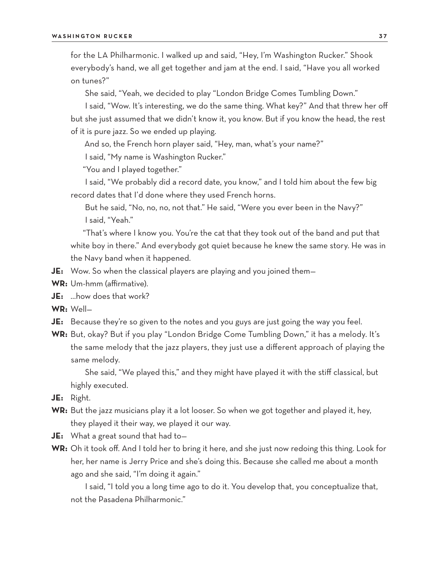for the LA Philharmonic. I walked up and said, "Hey, I'm Washington Rucker." Shook everybody's hand, we all get together and jam at the end. I said, "Have you all worked on tunes?"

She said, "Yeah, we decided to play "London Bridge Comes Tumbling Down."

I said, "Wow. It's interesting, we do the same thing. What key?" And that threw her off but she just assumed that we didn't know it, you know. But if you know the head, the rest of it is pure jazz. So we ended up playing.

And so, the French horn player said, "Hey, man, what's your name?"

I said, "My name is Washington Rucker."

"You and I played together."

I said, "We probably did a record date, you know," and I told him about the few big record dates that I'd done where they used French horns.

But he said, "No, no, no, not that." He said, "Were you ever been in the Navy?" I said, "Yeah."

"That's where I know you. You're the cat that they took out of the band and put that white boy in there." And everybody got quiet because he knew the same story. He was in the Navy band when it happened.

- **JE:** Wow. So when the classical players are playing and you joined them-
- **WR:** Um-hmm (affirmative).
- **JE:** …how does that work?
- **WR:** Well—
- **JE:** Because they're so given to the notes and you guys are just going the way you feel.
- **WR:** But, okay? But if you play "London Bridge Come Tumbling Down," it has a melody. It's the same melody that the jazz players, they just use a different approach of playing the same melody.

She said, "We played this," and they might have played it with the stiff classical, but highly executed.

- **JE:** Right.
- **WR:** But the jazz musicians play it a lot looser. So when we got together and played it, hey, they played it their way, we played it our way.
- **JE:** What a great sound that had to—
- **WR:** Oh it took off. And I told her to bring it here, and she just now redoing this thing. Look for her, her name is Jerry Price and she's doing this. Because she called me about a month ago and she said, "I'm doing it again."

I said, "I told you a long time ago to do it. You develop that, you conceptualize that, not the Pasadena Philharmonic."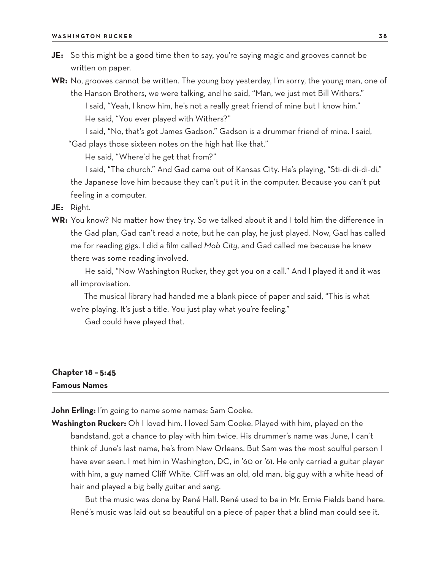**JE:** So this might be a good time then to say, you're saying magic and grooves cannot be written on paper.

**WR:** No, grooves cannot be written. The young boy yesterday, I'm sorry, the young man, one of the Hanson Brothers, we were talking, and he said, "Man, we just met Bill Withers." I said, "Yeah, I know him, he's not a really great friend of mine but I know him." He said, "You ever played with Withers?"

I said, "No, that's got James Gadson." Gadson is a drummer friend of mine. I said,

"Gad plays those sixteen notes on the high hat like that."

He said, "Where'd he get that from?"

I said, "The church." And Gad came out of Kansas City. He's playing, "Sti-di-di-di-di," the Japanese love him because they can't put it in the computer. Because you can't put feeling in a computer.

**JE:** Right.

**WR:** You know? No matter how they try. So we talked about it and I told him the difference in the Gad plan, Gad can't read a note, but he can play, he just played. Now, Gad has called me for reading gigs. I did a film called *Mob City*, and Gad called me because he knew there was some reading involved.

He said, "Now Washington Rucker, they got you on a call." And I played it and it was all improvisation.

The musical library had handed me a blank piece of paper and said, "This is what we're playing. It's just a title. You just play what you're feeling."

Gad could have played that.

# **Chapter 18 – 5:45 Famous Names**

**John Erling:** I'm going to name some names: Sam Cooke.

**Washington Rucker:** Oh I loved him. I loved Sam Cooke. Played with him, played on the bandstand, got a chance to play with him twice. His drummer's name was June, I can't think of June's last name, he's from New Orleans. But Sam was the most soulful person I have ever seen. I met him in Washington, DC, in '60 or '61. He only carried a guitar player with him, a guy named Cliff White. Cliff was an old, old man, big guy with a white head of hair and played a big belly guitar and sang.

But the music was done by René Hall. René used to be in Mr. Ernie Fields band here. René's music was laid out so beautiful on a piece of paper that a blind man could see it.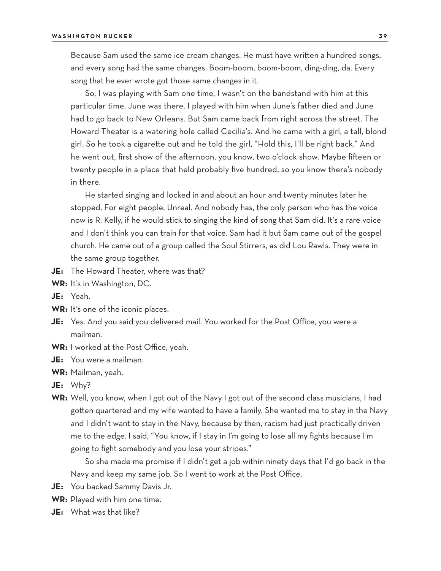Because Sam used the same ice cream changes. He must have written a hundred songs, and every song had the same changes. Boom-boom, boom-boom, ding-ding, da. Every song that he ever wrote got those same changes in it.

So, I was playing with Sam one time, I wasn't on the bandstand with him at this particular time. June was there. I played with him when June's father died and June had to go back to New Orleans. But Sam came back from right across the street. The Howard Theater is a watering hole called Cecilia's. And he came with a girl, a tall, blond girl. So he took a cigarette out and he told the girl, "Hold this, I'll be right back." And he went out, first show of the afternoon, you know, two o'clock show. Maybe fifteen or twenty people in a place that held probably five hundred, so you know there's nobody in there.

He started singing and locked in and about an hour and twenty minutes later he stopped. For eight people. Unreal. And nobody has, the only person who has the voice now is R. Kelly, if he would stick to singing the kind of song that Sam did. It's a rare voice and I don't think you can train for that voice. Sam had it but Sam came out of the gospel church. He came out of a group called the Soul Stirrers, as did Lou Rawls. They were in the same group together.

- **JE:** The Howard Theater, where was that?
- **WR:** It's in Washington, DC.
- **JE:** Yeah.
- **WR:** It's one of the iconic places.
- **JE:** Yes. And you said you delivered mail. You worked for the Post Office, you were a mailman.
- **WR:** I worked at the Post Office, yeah.
- **JE:** You were a mailman.
- **WR:** Mailman, yeah.
- **JE:** Why?
- **WR:** Well, you know, when I got out of the Navy I got out of the second class musicians, I had gotten quartered and my wife wanted to have a family. She wanted me to stay in the Navy and I didn't want to stay in the Navy, because by then, racism had just practically driven me to the edge. I said, "You know, if I stay in I'm going to lose all my fights because I'm going to fight somebody and you lose your stripes."

So she made me promise if I didn't get a job within ninety days that I'd go back in the Navy and keep my same job. So I went to work at the Post Office.

- **JE:** You backed Sammy Davis Jr.
- **WR:** Played with him one time.
- **JE:** What was that like?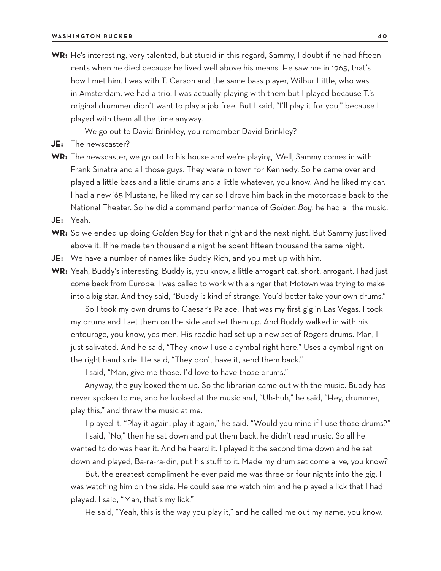**WR:** He's interesting, very talented, but stupid in this regard, Sammy, I doubt if he had fifteen cents when he died because he lived well above his means. He saw me in 1965, that's how I met him. I was with T. Carson and the same bass player, Wilbur Little, who was in Amsterdam, we had a trio. I was actually playing with them but I played because T.'s original drummer didn't want to play a job free. But I said, "I'll play it for you," because I played with them all the time anyway.

We go out to David Brinkley, you remember David Brinkley?

- **JE:** The newscaster?
- **WR:** The newscaster, we go out to his house and we're playing. Well, Sammy comes in with Frank Sinatra and all those guys. They were in town for Kennedy. So he came over and played a little bass and a little drums and a little whatever, you know. And he liked my car. I had a new '65 Mustang, he liked my car so I drove him back in the motorcade back to the National Theater. So he did a command performance of *Golden Boy*, he had all the music.

**JE:** Yeah.

- **WR:** So we ended up doing *Golden Boy* for that night and the next night. But Sammy just lived above it. If he made ten thousand a night he spent fifteen thousand the same night.
- **JE:** We have a number of names like Buddy Rich, and you met up with him.
- **WR:** Yeah, Buddy's interesting. Buddy is, you know, a little arrogant cat, short, arrogant. I had just come back from Europe. I was called to work with a singer that Motown was trying to make into a big star. And they said, "Buddy is kind of strange. You'd better take your own drums."

So I took my own drums to Caesar's Palace. That was my first gig in Las Vegas. I took my drums and I set them on the side and set them up. And Buddy walked in with his entourage, you know, yes men. His roadie had set up a new set of Rogers drums. Man, I just salivated. And he said, "They know I use a cymbal right here." Uses a cymbal right on the right hand side. He said, "They don't have it, send them back."

I said, "Man, give me those. I'd love to have those drums."

Anyway, the guy boxed them up. So the librarian came out with the music. Buddy has never spoken to me, and he looked at the music and, "Uh-huh," he said, "Hey, drummer, play this," and threw the music at me.

I played it. "Play it again, play it again," he said. "Would you mind if I use those drums?"

I said, "No," then he sat down and put them back, he didn't read music. So all he wanted to do was hear it. And he heard it. I played it the second time down and he sat down and played, Ba-ra-ra-din, put his stuff to it. Made my drum set come alive, you know?

But, the greatest compliment he ever paid me was three or four nights into the gig, I was watching him on the side. He could see me watch him and he played a lick that I had played. I said, "Man, that's my lick."

He said, "Yeah, this is the way you play it," and he called me out my name, you know.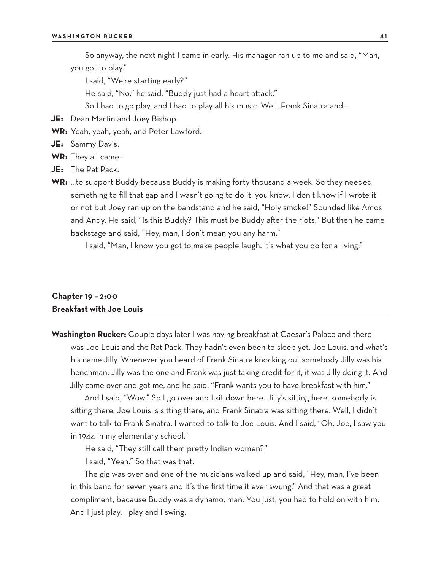So anyway, the next night I came in early. His manager ran up to me and said, "Man, you got to play."

I said, "We're starting early?"

He said, "No," he said, "Buddy just had a heart attack."

So I had to go play, and I had to play all his music. Well, Frank Sinatra and—

- **JE:** Dean Martin and Joey Bishop.
- **WR:** Yeah, yeah, yeah, and Peter Lawford.
- **JE:** Sammy Davis.
- **WR:** They all came—
- **JE:** The Rat Pack.
- **WR:** …to support Buddy because Buddy is making forty thousand a week. So they needed something to fill that gap and I wasn't going to do it, you know. I don't know if I wrote it or not but Joey ran up on the bandstand and he said, "Holy smoke!" Sounded like Amos and Andy. He said, "Is this Buddy? This must be Buddy after the riots." But then he came backstage and said, "Hey, man, I don't mean you any harm."

I said, "Man, I know you got to make people laugh, it's what you do for a living."

## **Chapter 19 – 2:00 Breakfast with Joe Louis**

**Washington Rucker:** Couple days later I was having breakfast at Caesar's Palace and there was Joe Louis and the Rat Pack. They hadn't even been to sleep yet. Joe Louis, and what's his name Jilly. Whenever you heard of Frank Sinatra knocking out somebody Jilly was his henchman. Jilly was the one and Frank was just taking credit for it, it was Jilly doing it. And Jilly came over and got me, and he said, "Frank wants you to have breakfast with him."

And I said, "Wow." So I go over and I sit down here. Jilly's sitting here, somebody is sitting there, Joe Louis is sitting there, and Frank Sinatra was sitting there. Well, I didn't want to talk to Frank Sinatra, I wanted to talk to Joe Louis. And I said, "Oh, Joe, I saw you in 1944 in my elementary school."

He said, "They still call them pretty Indian women?"

I said, "Yeah." So that was that.

The gig was over and one of the musicians walked up and said, "Hey, man, I've been in this band for seven years and it's the first time it ever swung." And that was a great compliment, because Buddy was a dynamo, man. You just, you had to hold on with him. And I just play, I play and I swing.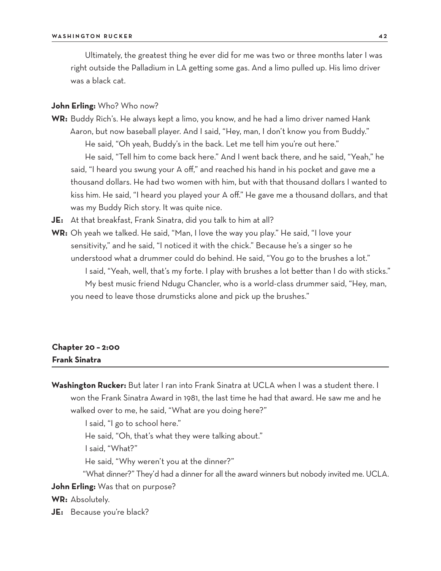Ultimately, the greatest thing he ever did for me was two or three months later I was right outside the Palladium in LA getting some gas. And a limo pulled up. His limo driver was a black cat.

#### **John Erling:** Who? Who now?

- **WR:** Buddy Rich's. He always kept a limo, you know, and he had a limo driver named Hank Aaron, but now baseball player. And I said, "Hey, man, I don't know you from Buddy." He said, "Oh yeah, Buddy's in the back. Let me tell him you're out here." He said, "Tell him to come back here." And I went back there, and he said, "Yeah," he said, "I heard you swung your A off," and reached his hand in his pocket and gave me a thousand dollars. He had two women with him, but with that thousand dollars I wanted to kiss him. He said, "I heard you played your A off." He gave me a thousand dollars, and that was my Buddy Rich story. It was quite nice.
- **JE:** At that breakfast, Frank Sinatra, did you talk to him at all?
- **WR:** Oh yeah we talked. He said, "Man, I love the way you play." He said, "I love your sensitivity," and he said, "I noticed it with the chick." Because he's a singer so he understood what a drummer could do behind. He said, "You go to the brushes a lot." I said, "Yeah, well, that's my forte. I play with brushes a lot better than I do with sticks." My best music friend Ndugu Chancler, who is a world-class drummer said, "Hey, man, you need to leave those drumsticks alone and pick up the brushes."

# **Chapter 20 – 2:00 Frank Sinatra**

**Washington Rucker:** But later I ran into Frank Sinatra at UCLA when I was a student there. I won the Frank Sinatra Award in 1981, the last time he had that award. He saw me and he walked over to me, he said, "What are you doing here?"

I said, "I go to school here."

He said, "Oh, that's what they were talking about."

I said, "What?"

He said, "Why weren't you at the dinner?"

"What dinner?" They'd had a dinner for all the award winners but nobody invited me. UCLA.

**John Erling:** Was that on purpose?

**WR:** Absolutely.

**JE:** Because you're black?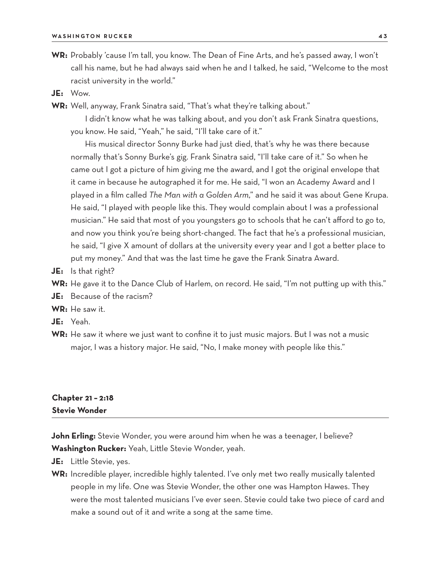- **WR:** Probably 'cause I'm tall, you know. The Dean of Fine Arts, and he's passed away, I won't call his name, but he had always said when he and I talked, he said, "Welcome to the most racist university in the world."
- **JE:** Wow.
- **WR:** Well, anyway, Frank Sinatra said, "That's what they're talking about."

I didn't know what he was talking about, and you don't ask Frank Sinatra questions, you know. He said, "Yeah," he said, "I'll take care of it."

His musical director Sonny Burke had just died, that's why he was there because normally that's Sonny Burke's gig. Frank Sinatra said, "I'll take care of it." So when he came out I got a picture of him giving me the award, and I got the original envelope that it came in because he autographed it for me. He said, "I won an Academy Award and I played in a film called *The Man with a Golden Arm*," and he said it was about Gene Krupa. He said, "I played with people like this. They would complain about I was a professional musician." He said that most of you youngsters go to schools that he can't afford to go to, and now you think you're being short-changed. The fact that he's a professional musician, he said, "I give X amount of dollars at the university every year and I got a better place to put my money." And that was the last time he gave the Frank Sinatra Award.

- **JE:** Is that right?
- **WR:** He gave it to the Dance Club of Harlem, on record. He said, "I'm not putting up with this."
- **JE:** Because of the racism?

**WR:** He saw it.

- **JE:** Yeah.
- **WR:** He saw it where we just want to confine it to just music majors. But I was not a music major, I was a history major. He said, "No, I make money with people like this."

# **Chapter 21 – 2:18 Stevie Wonder**

John Erling: Stevie Wonder, you were around him when he was a teenager, I believe? **Washington Rucker:** Yeah, Little Stevie Wonder, yeah.

- **JE:** Little Stevie, yes.
- **WR:** Incredible player, incredible highly talented. I've only met two really musically talented people in my life. One was Stevie Wonder, the other one was Hampton Hawes. They were the most talented musicians I've ever seen. Stevie could take two piece of card and make a sound out of it and write a song at the same time.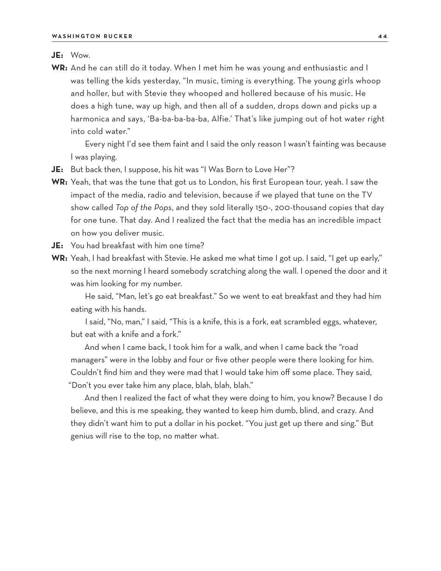#### **JE:** Wow.

**WR:** And he can still do it today. When I met him he was young and enthusiastic and I was telling the kids yesterday, "In music, timing is everything. The young girls whoop and holler, but with Stevie they whooped and hollered because of his music. He does a high tune, way up high, and then all of a sudden, drops down and picks up a harmonica and says, 'Ba-ba-ba-ba-ba, Alfie.' That's like jumping out of hot water right into cold water."

Every night I'd see them faint and I said the only reason I wasn't fainting was because I was playing.

- **JE:** But back then, I suppose, his hit was "I Was Born to Love Her"?
- **WR:** Yeah, that was the tune that got us to London, his first European tour, yeah. I saw the impact of the media, radio and television, because if we played that tune on the TV show called *Top of the Pops*, and they sold literally 150-, 200-thousand copies that day for one tune. That day. And I realized the fact that the media has an incredible impact on how you deliver music.
- **JE:** You had breakfast with him one time?
- **WR:** Yeah, I had breakfast with Stevie. He asked me what time I got up. I said, "I get up early," so the next morning I heard somebody scratching along the wall. I opened the door and it was him looking for my number.

He said, "Man, let's go eat breakfast." So we went to eat breakfast and they had him eating with his hands.

I said, "No, man," I said, "This is a knife, this is a fork, eat scrambled eggs, whatever, but eat with a knife and a fork."

And when I came back, I took him for a walk, and when I came back the "road managers" were in the lobby and four or five other people were there looking for him. Couldn't find him and they were mad that I would take him off some place. They said, "Don't you ever take him any place, blah, blah, blah."

And then I realized the fact of what they were doing to him, you know? Because I do believe, and this is me speaking, they wanted to keep him dumb, blind, and crazy. And they didn't want him to put a dollar in his pocket. "You just get up there and sing." But genius will rise to the top, no matter what.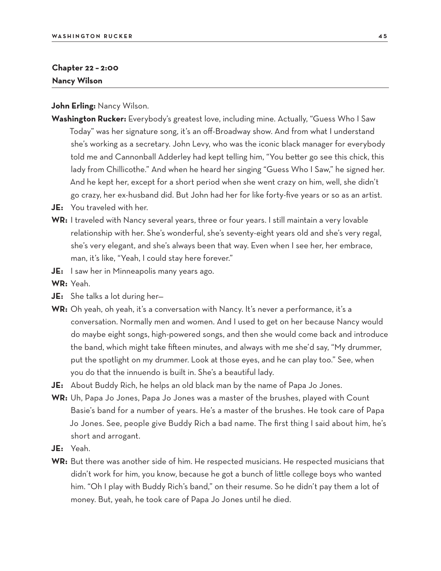#### **Chapter 22 – 2:00 Nancy Wilson**

**John Erling:** Nancy Wilson.

- **Washington Rucker:** Everybody's greatest love, including mine. Actually, "Guess Who I Saw Today" was her signature song, it's an off-Broadway show. And from what I understand she's working as a secretary. John Levy, who was the iconic black manager for everybody told me and Cannonball Adderley had kept telling him, "You better go see this chick, this lady from Chillicothe." And when he heard her singing "Guess Who I Saw," he signed her. And he kept her, except for a short period when she went crazy on him, well, she didn't go crazy, her ex-husband did. But John had her for like forty-five years or so as an artist.
- **JE:** You traveled with her.
- **WR:** I traveled with Nancy several years, three or four years. I still maintain a very lovable relationship with her. She's wonderful, she's seventy-eight years old and she's very regal, she's very elegant, and she's always been that way. Even when I see her, her embrace, man, it's like, "Yeah, I could stay here forever."
- **JE:** I saw her in Minneapolis many years ago.
- **WR:** Yeah.
- **JE:** She talks a lot during her—
- **WR:** Oh yeah, oh yeah, it's a conversation with Nancy. It's never a performance, it's a conversation. Normally men and women. And I used to get on her because Nancy would do maybe eight songs, high-powered songs, and then she would come back and introduce the band, which might take fifteen minutes, and always with me she'd say, "My drummer, put the spotlight on my drummer. Look at those eyes, and he can play too." See, when you do that the innuendo is built in. She's a beautiful lady.
- **JE:** About Buddy Rich, he helps an old black man by the name of Papa Jo Jones.
- **WR:** Uh, Papa Jo Jones, Papa Jo Jones was a master of the brushes, played with Count Basie's band for a number of years. He's a master of the brushes. He took care of Papa Jo Jones. See, people give Buddy Rich a bad name. The first thing I said about him, he's short and arrogant.
- **JE:** Yeah.
- **WR:** But there was another side of him. He respected musicians. He respected musicians that didn't work for him, you know, because he got a bunch of little college boys who wanted him. "Oh I play with Buddy Rich's band," on their resume. So he didn't pay them a lot of money. But, yeah, he took care of Papa Jo Jones until he died.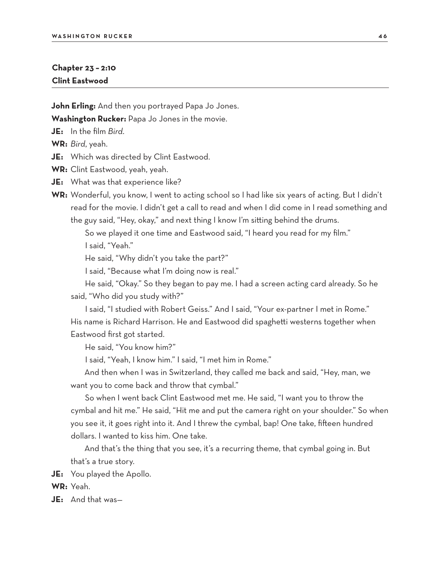#### **Chapter 23 – 2:10 Clint Eastwood**

**John Erling:** And then you portrayed Papa Jo Jones.

**Washington Rucker:** Papa Jo Jones in the movie.

**JE:** In the film *Bird*.

**WR:** *Bird*, yeah.

**JE:** Which was directed by Clint Eastwood.

**WR:** Clint Eastwood, yeah, yeah.

**JE:** What was that experience like?

**WR:** Wonderful, you know, I went to acting school so I had like six years of acting. But I didn't read for the movie. I didn't get a call to read and when I did come in I read something and the guy said, "Hey, okay," and next thing I know I'm sitting behind the drums.

So we played it one time and Eastwood said, "I heard you read for my film." I said, "Yeah."

He said, "Why didn't you take the part?"

I said, "Because what I'm doing now is real."

He said, "Okay." So they began to pay me. I had a screen acting card already. So he said, "Who did you study with?"

I said, "I studied with Robert Geiss." And I said, "Your ex-partner I met in Rome." His name is Richard Harrison. He and Eastwood did spaghetti westerns together when Eastwood first got started.

He said, "You know him?"

I said, "Yeah, I know him." I said, "I met him in Rome."

And then when I was in Switzerland, they called me back and said, "Hey, man, we want you to come back and throw that cymbal."

So when I went back Clint Eastwood met me. He said, "I want you to throw the cymbal and hit me." He said, "Hit me and put the camera right on your shoulder." So when you see it, it goes right into it. And I threw the cymbal, bap! One take, fifteen hundred dollars. I wanted to kiss him. One take.

And that's the thing that you see, it's a recurring theme, that cymbal going in. But that's a true story.

**JE:** You played the Apollo.

**WR:** Yeah.

**JE:** And that was—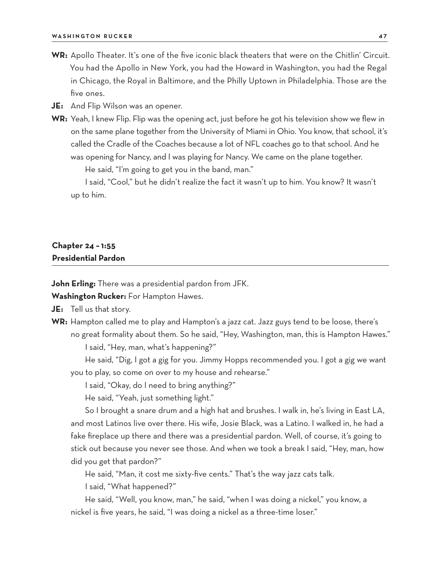- **WR:** Apollo Theater. It's one of the five iconic black theaters that were on the Chitlin' Circuit. You had the Apollo in New York, you had the Howard in Washington, you had the Regal in Chicago, the Royal in Baltimore, and the Philly Uptown in Philadelphia. Those are the five ones.
- **JE:** And Flip Wilson was an opener.
- **WR:** Yeah, I knew Flip. Flip was the opening act, just before he got his television show we flew in on the same plane together from the University of Miami in Ohio. You know, that school, it's called the Cradle of the Coaches because a lot of NFL coaches go to that school. And he was opening for Nancy, and I was playing for Nancy. We came on the plane together.

He said, "I'm going to get you in the band, man."

I said, "Cool," but he didn't realize the fact it wasn't up to him. You know? It wasn't up to him.

# **Chapter 24 – 1:55 Presidential Pardon**

**John Erling:** There was a presidential pardon from JFK.

**Washington Rucker:** For Hampton Hawes.

**JE:** Tell us that story.

**WR:** Hampton called me to play and Hampton's a jazz cat. Jazz guys tend to be loose, there's no great formality about them. So he said, "Hey, Washington, man, this is Hampton Hawes."

I said, "Hey, man, what's happening?"

He said, "Dig, I got a gig for you. Jimmy Hopps recommended you. I got a gig we want you to play, so come on over to my house and rehearse."

I said, "Okay, do I need to bring anything?"

He said, "Yeah, just something light."

So I brought a snare drum and a high hat and brushes. I walk in, he's living in East LA, and most Latinos live over there. His wife, Josie Black, was a Latino. I walked in, he had a fake fireplace up there and there was a presidential pardon. Well, of course, it's going to stick out because you never see those. And when we took a break I said, "Hey, man, how did you get that pardon?"

He said, "Man, it cost me sixty-five cents." That's the way jazz cats talk.

I said, "What happened?"

He said, "Well, you know, man," he said, "when I was doing a nickel," you know, a nickel is five years, he said, "I was doing a nickel as a three-time loser."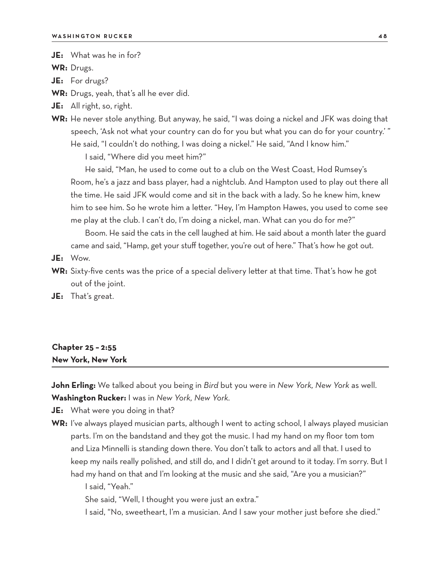**JE:** What was he in for?

**WR:** Drugs.

**JE:** For drugs?

**WR:** Drugs, yeah, that's all he ever did.

- **JE:** All right, so, right.
- **WR:** He never stole anything. But anyway, he said, "I was doing a nickel and JFK was doing that speech, 'Ask not what your country can do for you but what you can do for your country.' " He said, "I couldn't do nothing, I was doing a nickel." He said, "And I know him." I said, "Where did you meet him?"

He said, "Man, he used to come out to a club on the West Coast, Hod Rumsey's Room, he's a jazz and bass player, had a nightclub. And Hampton used to play out there all the time. He said JFK would come and sit in the back with a lady. So he knew him, knew him to see him. So he wrote him a letter. "Hey, I'm Hampton Hawes, you used to come see me play at the club. I can't do, I'm doing a nickel, man. What can you do for me?"

Boom. He said the cats in the cell laughed at him. He said about a month later the guard came and said, "Hamp, get your stuff together, you're out of here." That's how he got out.

- **JE:** Wow.
- **WR:** Sixty-five cents was the price of a special delivery letter at that time. That's how he got out of the joint.
- **JE:** That's great.

# **Chapter 25 – 2:55 New York, New York**

**John Erling:** We talked about you being in *Bird* but you were in *New York, New York* as well. **Washington Rucker:** I was in *New York, New York.*

**JE:** What were you doing in that?

**WR:** I've always played musician parts, although I went to acting school, I always played musician parts. I'm on the bandstand and they got the music. I had my hand on my floor tom tom and Liza Minnelli is standing down there. You don't talk to actors and all that. I used to keep my nails really polished, and still do, and I didn't get around to it today. I'm sorry. But I had my hand on that and I'm looking at the music and she said, "Are you a musician?"

I said, "Yeah."

She said, "Well, I thought you were just an extra."

I said, "No, sweetheart, I'm a musician. And I saw your mother just before she died."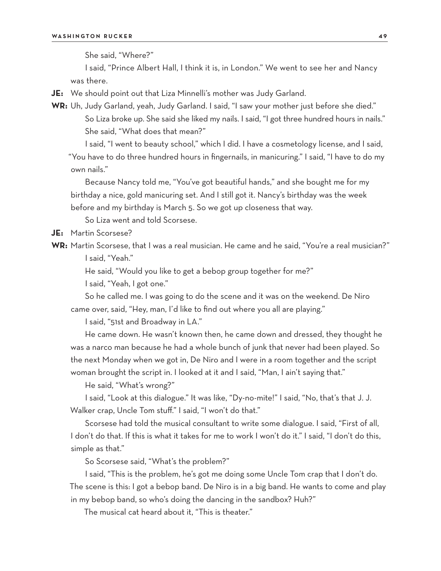She said, "Where?"

I said, "Prince Albert Hall, I think it is, in London." We went to see her and Nancy was there.

**JE:** We should point out that Liza Minnelli's mother was Judy Garland.

**WR:** Uh, Judy Garland, yeah, Judy Garland. I said, "I saw your mother just before she died." So Liza broke up. She said she liked my nails. I said, "I got three hundred hours in nails." She said, "What does that mean?"

I said, "I went to beauty school," which I did. I have a cosmetology license, and I said, "You have to do three hundred hours in fingernails, in manicuring." I said, "I have to do my own nails."

Because Nancy told me, "You've got beautiful hands," and she bought me for my birthday a nice, gold manicuring set. And I still got it. Nancy's birthday was the week before and my birthday is March 5. So we got up closeness that way.

So Liza went and told Scorsese.

**JE:** Martin Scorsese?

**WR:** Martin Scorsese, that I was a real musician. He came and he said, "You're a real musician?" I said, "Yeah."

He said, "Would you like to get a bebop group together for me?"

I said, "Yeah, I got one."

So he called me. I was going to do the scene and it was on the weekend. De Niro came over, said, "Hey, man, I'd like to find out where you all are playing."

I said, "51st and Broadway in LA."

He came down. He wasn't known then, he came down and dressed, they thought he was a narco man because he had a whole bunch of junk that never had been played. So the next Monday when we got in, De Niro and I were in a room together and the script woman brought the script in. I looked at it and I said, "Man, I ain't saying that."

He said, "What's wrong?"

I said, "Look at this dialogue." It was like, "Dy-no-mite!" I said, "No, that's that J. J. Walker crap, Uncle Tom stuff." I said, "I won't do that."

Scorsese had told the musical consultant to write some dialogue. I said, "First of all, I don't do that. If this is what it takes for me to work I won't do it." I said, "I don't do this, simple as that."

So Scorsese said, "What's the problem?"

I said, "This is the problem, he's got me doing some Uncle Tom crap that I don't do. The scene is this: I got a bebop band. De Niro is in a big band. He wants to come and play in my bebop band, so who's doing the dancing in the sandbox? Huh?"

The musical cat heard about it, "This is theater."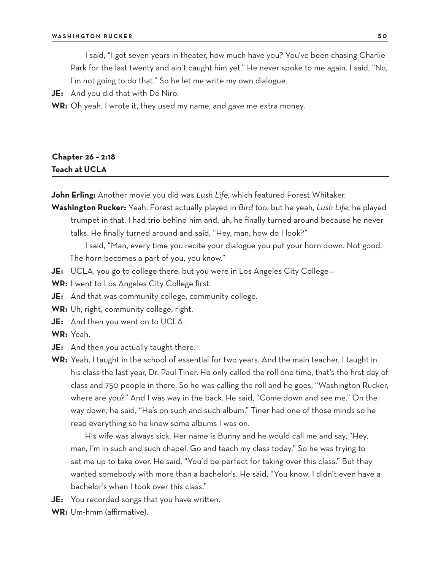I said, "I got seven years in theater, how much have you? You've been chasing Charlie Park for the last twenty and ain't caught him yet." He never spoke to me again. I said, "No, I'm not going to do that." So he let me write my own dialogue.

**JE:** And you did that with De Niro.

**WR:** Oh yeah. I wrote it, they used my name, and gave me extra money.

# **Chapter 26 – 2:18 Teach at UCLA**

**John Erling:** Another movie you did was *Lush Life*, which featured Forest Whitaker.

**Washington Rucker:** Yeah, Forest actually played in *Bird* too, but he yeah, *Lush Life*, he played trumpet in that. I had trio behind him and, uh, he finally turned around because he never talks. He finally turned around and said, "Hey, man, how do I look?"

I said, "Man, every time you recite your dialogue you put your horn down. Not good. The horn becomes a part of you, you know."

- **JE:** UCLA, you go to college there, but you were in Los Angeles City College—
- **WR:** I went to Los Angeles City College first.
- **JE:** And that was community college, community college.
- **WR:** Uh, right, community college, right.
- **JE:** And then you went on to UCLA.
- **WR:** Yeah.
- **JE:** And then you actually taught there.
- **WR:** Yeah, I taught in the school of essential for two years. And the main teacher, I taught in his class the last year, Dr. Paul Tiner. He only called the roll one time, that's the first day of class and 750 people in there. So he was calling the roll and he goes, "Washington Rucker, where are you?" And I was way in the back. He said, "Come down and see me." On the way down, he said, "He's on such and such album." Tiner had one of those minds so he read everything so he knew some albums I was on.

His wife was always sick. Her name is Bunny and he would call me and say, "Hey, man, I'm in such and such chapel. Go and teach my class today." So he was trying to set me up to take over. He said, "You'd be perfect for taking over this class." But they wanted somebody with more than a bachelor's. He said, "You know, I didn't even have a bachelor's when I took over this class."

- **JE:** You recorded songs that you have written.
- **WR:** Um-hmm (affirmative).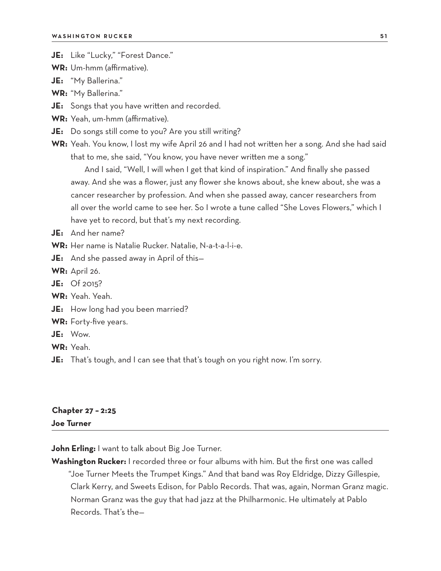- **JE:** Like "Lucky," "Forest Dance."
- **WR:** Um-hmm (affirmative).
- **JE:** "My Ballerina."
- **WR:** "My Ballerina."
- **JE:** Songs that you have written and recorded.
- **WR:** Yeah, um-hmm (affirmative).
- **JE:** Do songs still come to you? Are you still writing?
- **WR:** Yeah. You know, I lost my wife April 26 and I had not written her a song. And she had said that to me, she said, "You know, you have never written me a song."

And I said, "Well, I will when I get that kind of inspiration." And finally she passed away. And she was a flower, just any flower she knows about, she knew about, she was a cancer researcher by profession. And when she passed away, cancer researchers from all over the world came to see her. So I wrote a tune called "She Loves Flowers," which I have yet to record, but that's my next recording.

- **JE:** And her name?
- **WR:** Her name is Natalie Rucker. Natalie, N-a-t-a-l-i-e.
- **JE:** And she passed away in April of this—
- **WR:** April 26.
- **JE:** Of 2015?
- **WR:** Yeah. Yeah.
- **JE:** How long had you been married?
- **WR:** Forty-five years.
- **JE:** Wow.
- **WR:** Yeah.
- **JE:** That's tough, and I can see that that's tough on you right now. I'm sorry.

### **Chapter 27 – 2:25 Joe Turner**

**John Erling:** I want to talk about Big Joe Turner.

**Washington Rucker:** I recorded three or four albums with him. But the first one was called

"Joe Turner Meets the Trumpet Kings." And that band was Roy Eldridge, Dizzy Gillespie, Clark Kerry, and Sweets Edison, for Pablo Records. That was, again, Norman Granz magic. Norman Granz was the guy that had jazz at the Philharmonic. He ultimately at Pablo Records. That's the—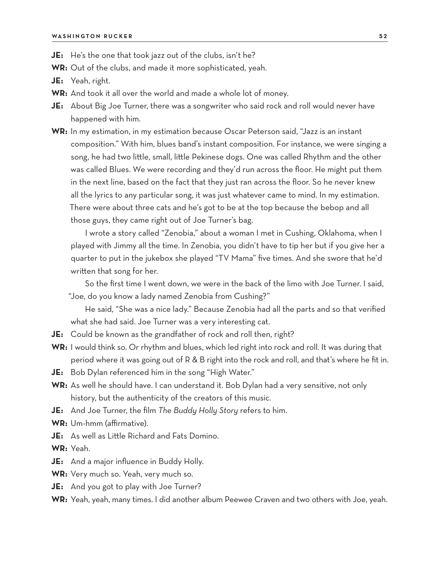- **JE:** He's the one that took jazz out of the clubs, isn't he?
- **WR:** Out of the clubs, and made it more sophisticated, yeah.
- **JE:** Yeah, right.
- **WR:** And took it all over the world and made a whole lot of money.
- **JE:** About Big Joe Turner, there was a songwriter who said rock and roll would never have happened with him.
- **WR:** In my estimation, in my estimation because Oscar Peterson said, "Jazz is an instant composition." With him, blues band's instant composition. For instance, we were singing a song, he had two little, small, little Pekinese dogs. One was called Rhythm and the other was called Blues. We were recording and they'd run across the floor. He might put them in the next line, based on the fact that they just ran across the floor. So he never knew all the lyrics to any particular song, it was just whatever came to mind. In my estimation. There were about three cats and he's got to be at the top because the bebop and all those guys, they came right out of Joe Turner's bag.

I wrote a story called "Zenobia," about a woman I met in Cushing, Oklahoma, when I played with Jimmy all the time. In Zenobia, you didn't have to tip her but if you give her a quarter to put in the jukebox she played "TV Mama" five times. And she swore that he'd written that song for her.

So the first time I went down, we were in the back of the limo with Joe Turner. I said, "Joe, do you know a lady named Zenobia from Cushing?"

He said, "She was a nice lady." Because Zenobia had all the parts and so that verified what she had said. Joe Turner was a very interesting cat.

- **JE:** Could be known as the grandfather of rock and roll then, right?
- **WR:** I would think so. Or rhythm and blues, which led right into rock and roll. It was during that period where it was going out of R & B right into the rock and roll, and that's where he fit in.
- **JE:** Bob Dylan referenced him in the song "High Water."
- **WR:** As well he should have. I can understand it. Bob Dylan had a very sensitive, not only history, but the authenticity of the creators of this music.
- **JE:** And Joe Turner, the film *The Buddy Holly Story* refers to him.
- **WR:** Um-hmm (affirmative).
- **JE:** As well as Little Richard and Fats Domino.

**WR:** Yeah.

- **JE:** And a major influence in Buddy Holly.
- **WR:** Very much so. Yeah, very much so.
- **JE:** And you got to play with Joe Turner?
- **WR:** Yeah, yeah, many times. I did another album Peewee Craven and two others with Joe, yeah.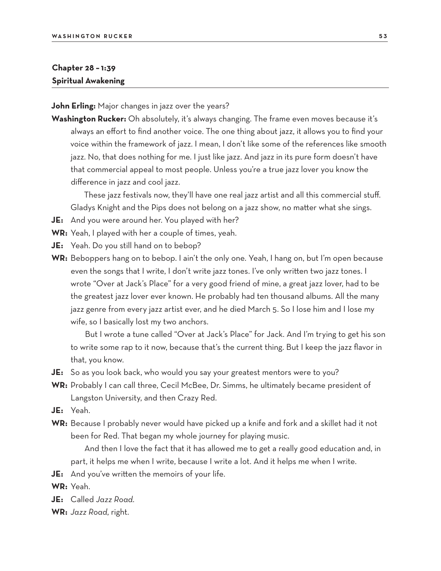# **Chapter 28 – 1:39 Spiritual Awakening**

**John Erling:** Major changes in jazz over the years?

**Washington Rucker:** Oh absolutely, it's always changing. The frame even moves because it's always an effort to find another voice. The one thing about jazz, it allows you to find your voice within the framework of jazz. I mean, I don't like some of the references like smooth jazz. No, that does nothing for me. I just like jazz. And jazz in its pure form doesn't have that commercial appeal to most people. Unless you're a true jazz lover you know the difference in jazz and cool jazz.

These jazz festivals now, they'll have one real jazz artist and all this commercial stuff. Gladys Knight and the Pips does not belong on a jazz show, no matter what she sings.

- **JE:** And you were around her. You played with her?
- **WR:** Yeah, I played with her a couple of times, yeah.
- **JE:** Yeah. Do you still hand on to bebop?
- **WR:** Beboppers hang on to bebop. I ain't the only one. Yeah, I hang on, but I'm open because even the songs that I write, I don't write jazz tones. I've only written two jazz tones. I wrote "Over at Jack's Place" for a very good friend of mine, a great jazz lover, had to be the greatest jazz lover ever known. He probably had ten thousand albums. All the many jazz genre from every jazz artist ever, and he died March 5. So I lose him and I lose my wife, so I basically lost my two anchors.

But I wrote a tune called "Over at Jack's Place" for Jack. And I'm trying to get his son to write some rap to it now, because that's the current thing. But I keep the jazz flavor in that, you know.

- **JE:** So as you look back, who would you say your greatest mentors were to you?
- **WR:** Probably I can call three, Cecil McBee, Dr. Simms, he ultimately became president of Langston University, and then Crazy Red.
- **JE:** Yeah.
- **WR:** Because I probably never would have picked up a knife and fork and a skillet had it not been for Red. That began my whole journey for playing music.

And then I love the fact that it has allowed me to get a really good education and, in part, it helps me when I write, because I write a lot. And it helps me when I write.

**JE:** And you've written the memoirs of your life.

**WR:** Yeah.

- **JE:** Called *Jazz Road*.
- **WR:** *Jazz Road*, right.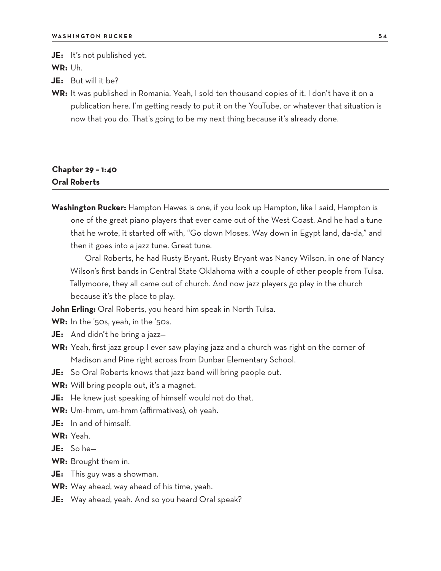**JE:** It's not published yet.

**WR:** Uh.

**JE:** But will it be?

**WR:** It was published in Romania. Yeah, I sold ten thousand copies of it. I don't have it on a publication here. I'm getting ready to put it on the YouTube, or whatever that situation is now that you do. That's going to be my next thing because it's already done.

# **Chapter 29 – 1:40 Oral Roberts**

**Washington Rucker:** Hampton Hawes is one, if you look up Hampton, like I said, Hampton is one of the great piano players that ever came out of the West Coast. And he had a tune that he wrote, it started off with, "Go down Moses. Way down in Egypt land, da-da," and then it goes into a jazz tune. Great tune.

Oral Roberts, he had Rusty Bryant. Rusty Bryant was Nancy Wilson, in one of Nancy Wilson's first bands in Central State Oklahoma with a couple of other people from Tulsa. Tallymoore, they all came out of church. And now jazz players go play in the church because it's the place to play.

**John Erling:** Oral Roberts, you heard him speak in North Tulsa.

- **WR:** In the '50s, yeah, in the '50s.
- **JE:** And didn't he bring a jazz—
- **WR:** Yeah, first jazz group I ever saw playing jazz and a church was right on the corner of Madison and Pine right across from Dunbar Elementary School.
- **JE:** So Oral Roberts knows that jazz band will bring people out.
- **WR:** Will bring people out, it's a magnet.
- **JE:** He knew just speaking of himself would not do that.
- **WR:** Um-hmm, um-hmm (affirmatives), oh yeah.
- **JE:** In and of himself.
- **WR:** Yeah.
- **JE:** So he—
- **WR:** Brought them in.
- **JE:** This guy was a showman.
- **WR:** Way ahead, way ahead of his time, yeah.
- **JE:** Way ahead, yeah. And so you heard Oral speak?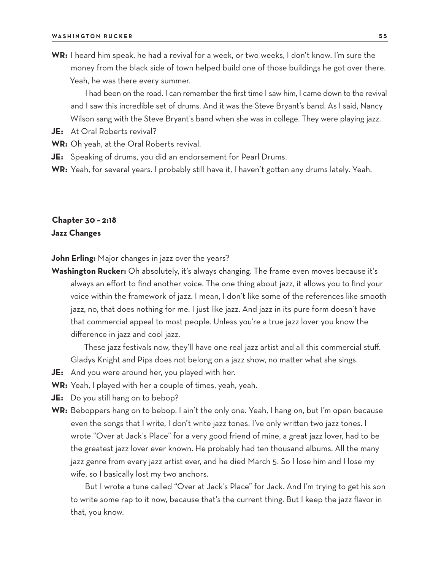**WR:** I heard him speak, he had a revival for a week, or two weeks, I don't know. I'm sure the money from the black side of town helped build one of those buildings he got over there. Yeah, he was there every summer.

I had been on the road. I can remember the first time I saw him, I came down to the revival and I saw this incredible set of drums. And it was the Steve Bryant's band. As I said, Nancy Wilson sang with the Steve Bryant's band when she was in college. They were playing jazz.

- **JE:** At Oral Roberts revival?
- **WR:** Oh yeah, at the Oral Roberts revival.
- **JE:** Speaking of drums, you did an endorsement for Pearl Drums.
- **WR:** Yeah, for several years. I probably still have it, I haven't gotten any drums lately. Yeah.

# **Chapter 30 – 2:18 Jazz Changes**

**John Erling:** Major changes in jazz over the years?

**Washington Rucker:** Oh absolutely, it's always changing. The frame even moves because it's always an effort to find another voice. The one thing about jazz, it allows you to find your voice within the framework of jazz. I mean, I don't like some of the references like smooth jazz, no, that does nothing for me. I just like jazz. And jazz in its pure form doesn't have that commercial appeal to most people. Unless you're a true jazz lover you know the difference in jazz and cool jazz.

These jazz festivals now, they'll have one real jazz artist and all this commercial stuff. Gladys Knight and Pips does not belong on a jazz show, no matter what she sings.

- **JE:** And you were around her, you played with her.
- **WR:** Yeah, I played with her a couple of times, yeah, yeah.
- **JE:** Do you still hang on to bebop?
- **WR:** Beboppers hang on to bebop. I ain't the only one. Yeah, I hang on, but I'm open because even the songs that I write, I don't write jazz tones. I've only written two jazz tones. I wrote "Over at Jack's Place" for a very good friend of mine, a great jazz lover, had to be the greatest jazz lover ever known. He probably had ten thousand albums. All the many jazz genre from every jazz artist ever, and he died March 5. So I lose him and I lose my wife, so I basically lost my two anchors.

But I wrote a tune called "Over at Jack's Place" for Jack. And I'm trying to get his son to write some rap to it now, because that's the current thing. But I keep the jazz flavor in that, you know.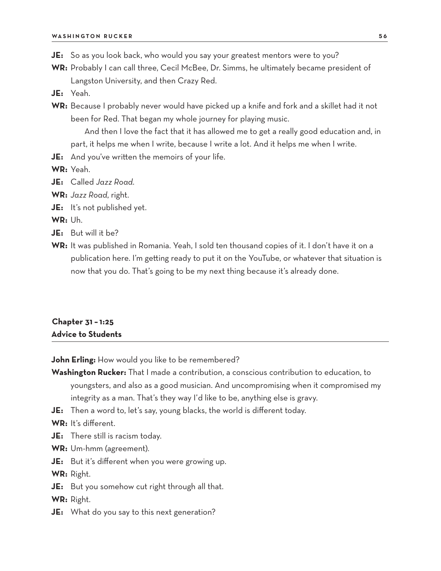- **JE:** So as you look back, who would you say your greatest mentors were to you?
- **WR:** Probably I can call three, Cecil McBee, Dr. Simms, he ultimately became president of Langston University, and then Crazy Red.
- **JE:** Yeah.
- **WR:** Because I probably never would have picked up a knife and fork and a skillet had it not been for Red. That began my whole journey for playing music.

And then I love the fact that it has allowed me to get a really good education and, in part, it helps me when I write, because I write a lot. And it helps me when I write.

**JE:** And you've written the memoirs of your life.

**WR:** Yeah.

- **JE:** Called *Jazz Road*.
- **WR:** *Jazz Road*, right.
- **JE:** It's not published yet.

**WR:** Uh.

- **JE:** But will it be?
- **WR:** It was published in Romania. Yeah, I sold ten thousand copies of it. I don't have it on a publication here. I'm getting ready to put it on the YouTube, or whatever that situation is now that you do. That's going to be my next thing because it's already done.

# **Chapter 31 – 1:25 Advice to Students**

**John Erling:** How would you like to be remembered?

- **Washington Rucker:** That I made a contribution, a conscious contribution to education, to youngsters, and also as a good musician. And uncompromising when it compromised my integrity as a man. That's they way I'd like to be, anything else is gravy.
- **JE:** Then a word to, let's say, young blacks, the world is different today.
- **WR:** It's different.
- **JE:** There still is racism today.
- **WR:** Um-hmm (agreement).
- **JE:** But it's different when you were growing up.

**WR:** Right.

**JE:** But you somehow cut right through all that.

**WR:** Right.

**JE:** What do you say to this next generation?